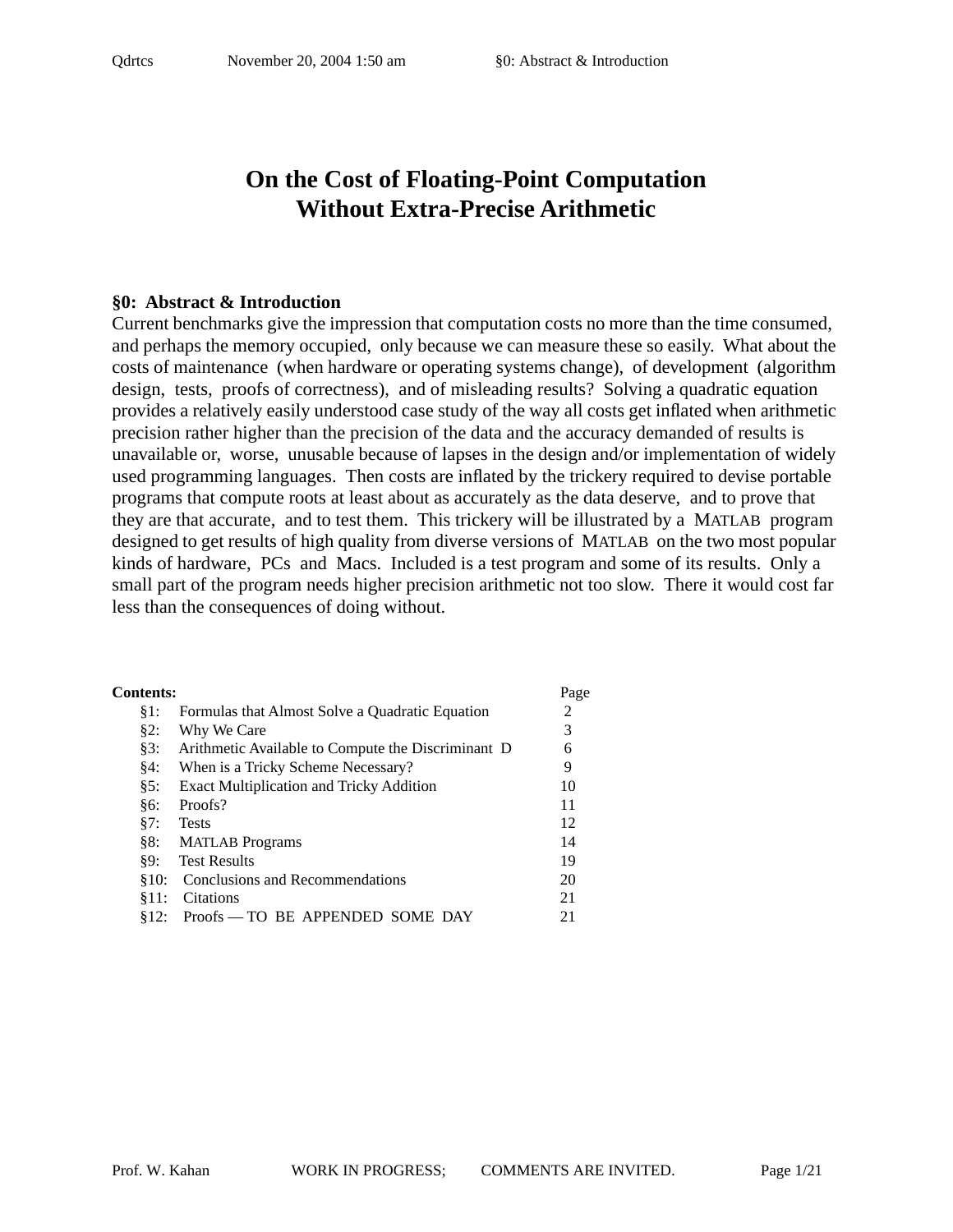# **On the Cost of Floating-Point Computation Without Extra-Precise Arithmetic**

#### **§0: Abstract & Introduction**

Current benchmarks give the impression that computation costs no more than the time consumed, and perhaps the memory occupied, only because we can measure these so easily. What about the costs of maintenance (when hardware or operating systems change), of development (algorithm design, tests, proofs of correctness), and of misleading results? Solving a quadratic equation provides a relatively easily understood case study of the way all costs get inflated when arithmetic precision rather higher than the precision of the data and the accuracy demanded of results is unavailable or, worse, unusable because of lapses in the design and/or implementation of widely used programming languages. Then costs are inflated by the trickery required to devise portable programs that compute roots at least about as accurately as the data deserve, and to prove that they are that accurate, and to test them. This trickery will be illustrated by a MATLAB program designed to get results of high quality from diverse versions of MATLAB on the two most popular kinds of hardware, PCs and Macs. Included is a test program and some of its results. Only a small part of the program needs higher precision arithmetic not too slow. There it would cost far less than the consequences of doing without.

| <b>Contents:</b> |                                                    | Page |
|------------------|----------------------------------------------------|------|
| §1:              | Formulas that Almost Solve a Quadratic Equation    | 2    |
| §2:              | Why We Care                                        | 3    |
| §3:              | Arithmetic Available to Compute the Discriminant D | 6    |
| §4:              | When is a Tricky Scheme Necessary?                 | 9    |
| §5:              | <b>Exact Multiplication and Tricky Addition</b>    | 10   |
| §6:              | Proofs?                                            | 11   |
| §7:              | <b>Tests</b>                                       | 12   |
|                  | §8: MATLAB Programs                                | 14   |
| 89:              | <b>Test Results</b>                                | 19   |
| 810:             | Conclusions and Recommendations                    | 20   |
| \$11:            | Citations                                          | 21   |
| 812:             | Proofs — TO BE APPENDED SOME DAY                   | 21   |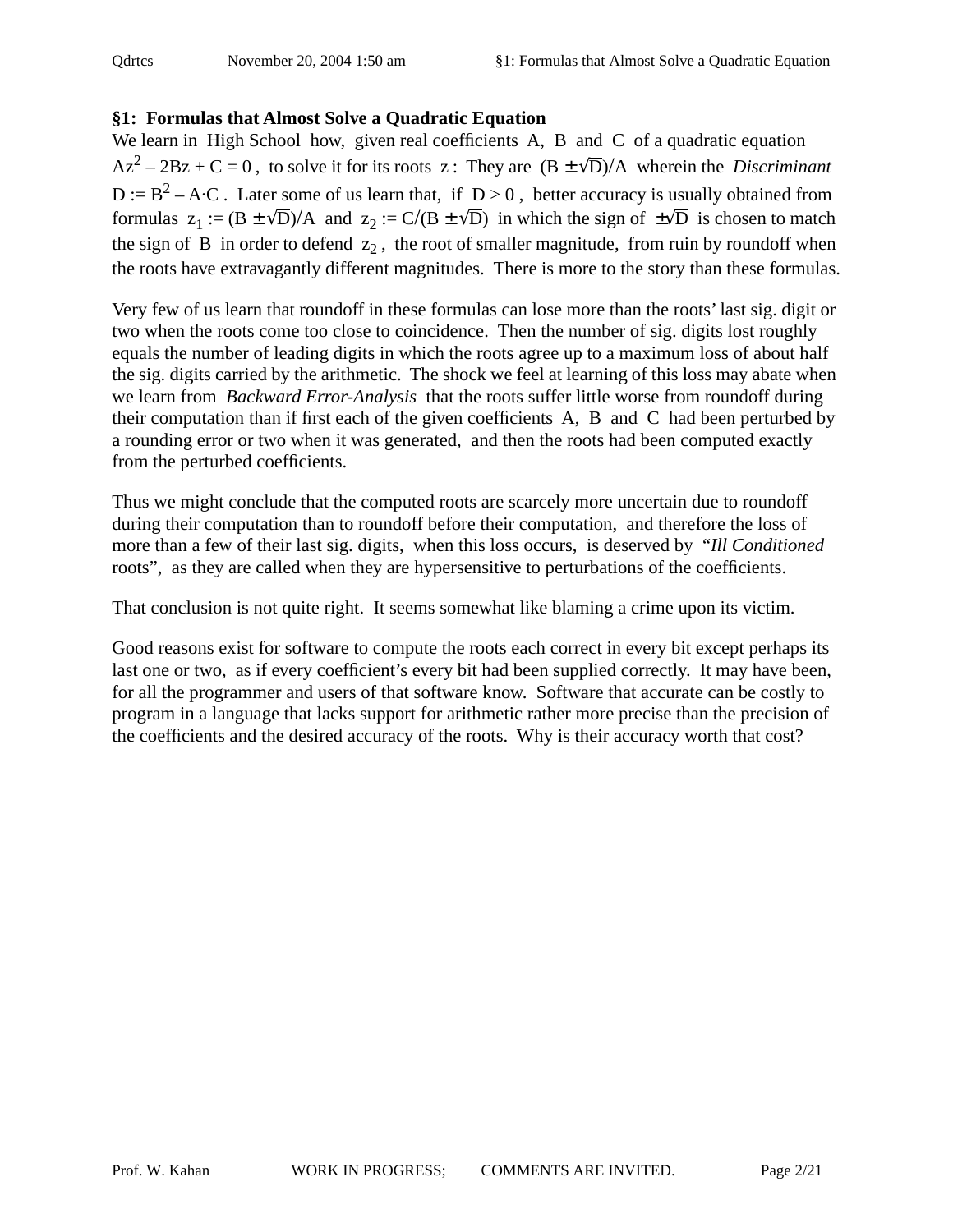# **§1: Formulas that Almost Solve a Quadratic Equation**

We learn in High School how, given real coefficients A, B and C of a quadratic equation  $Az^{2} - 2Bz + C = 0$ , to solve it for its roots z: They are  $(B \pm \sqrt{D})/A$  wherein the *Discriminant*  $D := B^2 - A \cdot C$ . Later some of us learn that, if  $D > 0$ , better accuracy is usually obtained from formulas  $z_1 := (B \pm \sqrt{D})/A$  and  $z_2 := C/(B \pm \sqrt{D})$  in which the sign of  $\pm \sqrt{D}$  is chosen to match the sign of B in order to defend  $z_2$ , the root of smaller magnitude, from ruin by roundoff when the roots have extravagantly different magnitudes. There is more to the story than these formulas.

Very few of us learn that roundoff in these formulas can lose more than the roots' last sig. digit or two when the roots come too close to coincidence. Then the number of sig. digits lost roughly equals the number of leading digits in which the roots agree up to a maximum loss of about half the sig. digits carried by the arithmetic. The shock we feel at learning of this loss may abate when we learn from *Backward Error-Analysis* that the roots suffer little worse from roundoff during their computation than if first each of the given coefficients A, B and C had been perturbed by a rounding error or two when it was generated, and then the roots had been computed exactly from the perturbed coefficients.

Thus we might conclude that the computed roots are scarcely more uncertain due to roundoff during their computation than to roundoff before their computation, and therefore the loss of more than a few of their last sig. digits, when this loss occurs, is deserved by "*Ill Conditioned* roots", as they are called when they are hypersensitive to perturbations of the coefficients.

That conclusion is not quite right. It seems somewhat like blaming a crime upon its victim.

Good reasons exist for software to compute the roots each correct in every bit except perhaps its last one or two, as if every coefficient's every bit had been supplied correctly. It may have been, for all the programmer and users of that software know. Software that accurate can be costly to program in a language that lacks support for arithmetic rather more precise than the precision of the coefficients and the desired accuracy of the roots. Why is their accuracy worth that cost?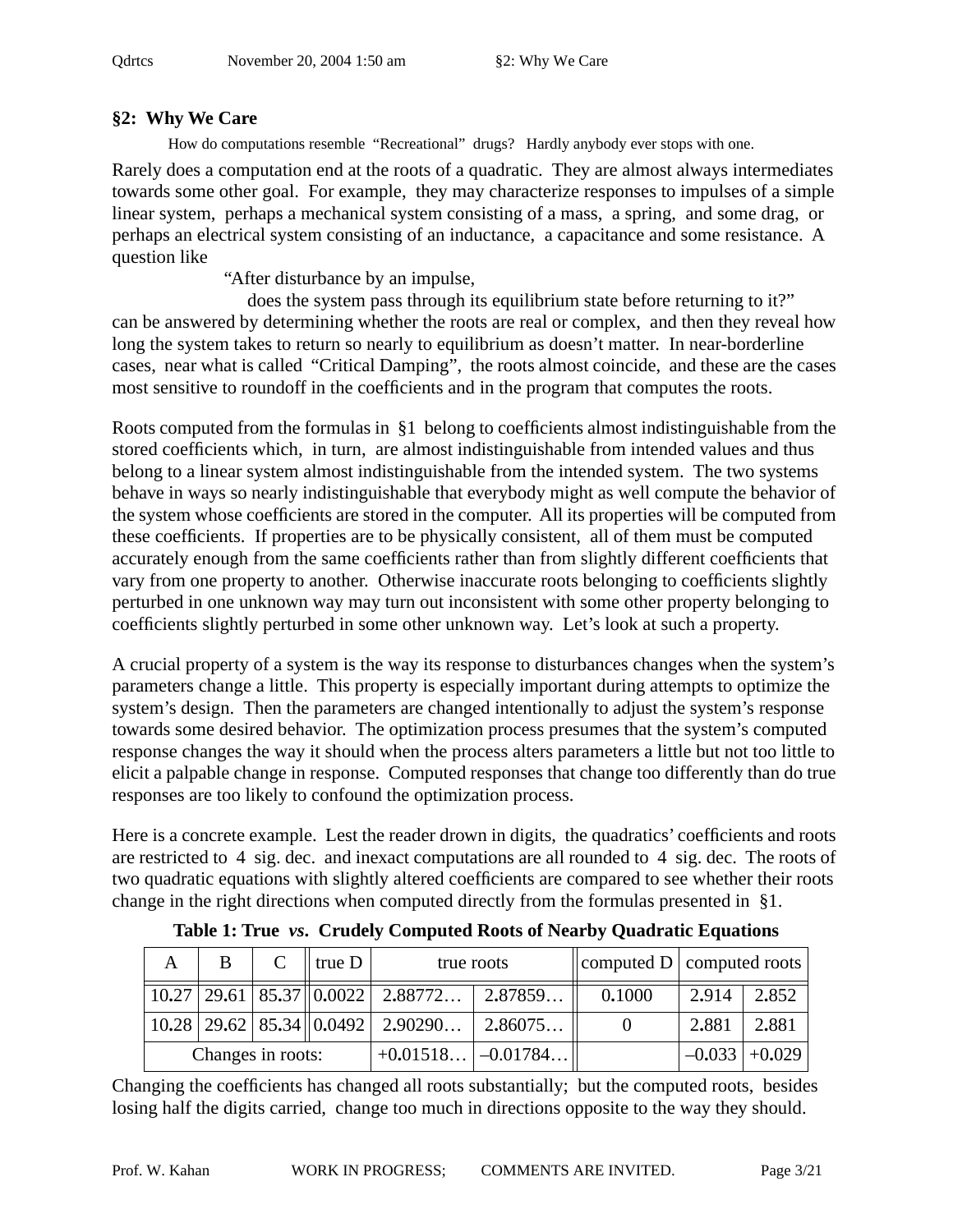# **§2: Why We Care**

How do computations resemble "Recreational" drugs? Hardly anybody ever stops with one.

Rarely does a computation end at the roots of a quadratic. They are almost always intermediates towards some other goal. For example, they may characterize responses to impulses of a simple linear system, perhaps a mechanical system consisting of a mass, a spring, and some drag, or perhaps an electrical system consisting of an inductance, a capacitance and some resistance. A question like

"After disturbance by an impulse,

 does the system pass through its equilibrium state before returning to it?" can be answered by determining whether the roots are real or complex, and then they reveal how long the system takes to return so nearly to equilibrium as doesn't matter. In near-borderline cases, near what is called "Critical Damping", the roots almost coincide, and these are the cases most sensitive to roundoff in the coefficients and in the program that computes the roots.

Roots computed from the formulas in §1 belong to coefficients almost indistinguishable from the stored coefficients which, in turn, are almost indistinguishable from intended values and thus belong to a linear system almost indistinguishable from the intended system. The two systems behave in ways so nearly indistinguishable that everybody might as well compute the behavior of the system whose coefficients are stored in the computer. All its properties will be computed from these coefficients. If properties are to be physically consistent, all of them must be computed accurately enough from the same coefficients rather than from slightly different coefficients that vary from one property to another. Otherwise inaccurate roots belonging to coefficients slightly perturbed in one unknown way may turn out inconsistent with some other property belonging to coefficients slightly perturbed in some other unknown way. Let's look at such a property.

A crucial property of a system is the way its response to disturbances changes when the system's parameters change a little. This property is especially important during attempts to optimize the system's design. Then the parameters are changed intentionally to adjust the system's response towards some desired behavior. The optimization process presumes that the system's computed response changes the way it should when the process alters parameters a little but not too little to elicit a palpable change in response. Computed responses that change too differently than do true responses are too likely to confound the optimization process.

Here is a concrete example. Lest the reader drown in digits, the quadratics' coefficients and roots are restricted to 4 sig. dec. and inexact computations are all rounded to 4 sig. dec. The roots of two quadratic equations with slightly altered coefficients are compared to see whether their roots change in the right directions when computed directly from the formulas presented in §1.

|                   | B |  | $C \parallel true \ D$ | true roots                                                                     |         | computed $D$ computed roots |       |                 |
|-------------------|---|--|------------------------|--------------------------------------------------------------------------------|---------|-----------------------------|-------|-----------------|
|                   |   |  |                        | $\vert 10.27 \vert 29.61 \vert 85.37 \vert 0.0022 \vert 2.88772 \vert 2.87859$ |         | 0.1000                      | 2.914 | 2.852           |
|                   |   |  |                        | $\vert 10.28 \vert 29.62 \vert 85.34 \vert \vert 0.0492 \vert 2.90290$         | 2.86075 |                             | 2.881 | 2.881           |
| Changes in roots: |   |  |                        | $+0.01518$ $-0.01784$                                                          |         |                             |       | $-0.033$ +0.029 |

**Table 1: True** *vs***. Crudely Computed Roots of Nearby Quadratic Equations**

Changing the coefficients has changed all roots substantially; but the computed roots, besides losing half the digits carried, change too much in directions opposite to the way they should.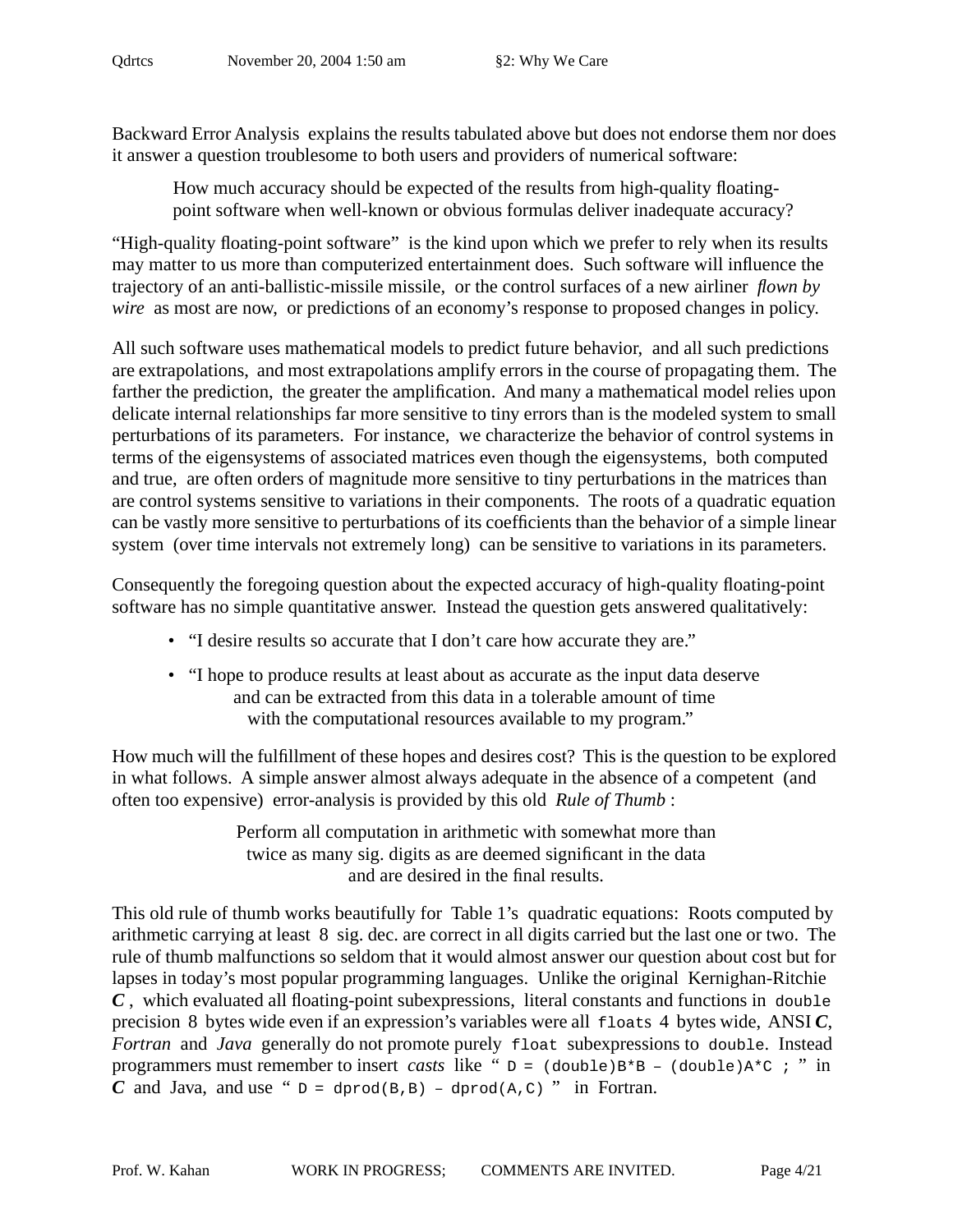Backward Error Analysis explains the results tabulated above but does not endorse them nor does it answer a question troublesome to both users and providers of numerical software:

How much accuracy should be expected of the results from high-quality floating point software when well-known or obvious formulas deliver inadequate accuracy?

"High-quality floating-point software" is the kind upon which we prefer to rely when its results may matter to us more than computerized entertainment does. Such software will influence the trajectory of an anti-ballistic-missile missile, or the control surfaces of a new airliner *flown by wire* as most are now, or predictions of an economy's response to proposed changes in policy.

All such software uses mathematical models to predict future behavior, and all such predictions are extrapolations, and most extrapolations amplify errors in the course of propagating them. The farther the prediction, the greater the amplification. And many a mathematical model relies upon delicate internal relationships far more sensitive to tiny errors than is the modeled system to small perturbations of its parameters. For instance, we characterize the behavior of control systems in terms of the eigensystems of associated matrices even though the eigensystems, both computed and true, are often orders of magnitude more sensitive to tiny perturbations in the matrices than are control systems sensitive to variations in their components. The roots of a quadratic equation can be vastly more sensitive to perturbations of its coefficients than the behavior of a simple linear system (over time intervals not extremely long) can be sensitive to variations in its parameters.

Consequently the foregoing question about the expected accuracy of high-quality floating-point software has no simple quantitative answer. Instead the question gets answered qualitatively:

- "I desire results so accurate that I don't care how accurate they are."
- "I hope to produce results at least about as accurate as the input data deserve and can be extracted from this data in a tolerable amount of time with the computational resources available to my program."

How much will the fulfillment of these hopes and desires cost? This is the question to be explored in what follows. A simple answer almost always adequate in the absence of a competent (and often too expensive) error-analysis is provided by this old *Rule of Thumb* :

> Perform all computation in arithmetic with somewhat more than twice as many sig. digits as are deemed significant in the data and are desired in the final results.

This old rule of thumb works beautifully for Table 1's quadratic equations: Roots computed by arithmetic carrying at least 8 sig. dec. are correct in all digits carried but the last one or two. The rule of thumb malfunctions so seldom that it would almost answer our question about cost but for lapses in today's most popular programming languages. Unlike the original Kernighan-Ritchie *C* , which evaluated all floating-point subexpressions, literal constants and functions in double precision 8 bytes wide even if an expression's variables were all floats 4 bytes wide, ANSI *C*, *Fortran* and *Java* generally do not promote purely float subexpressions to double. Instead programmers must remember to insert *casts* like " $D = (double)B*B - (double)A*C : "in]$ *C* and Java, and use "  $D = \text{dprod}(B, B) - \text{dprod}(A, C)$  " in Fortran.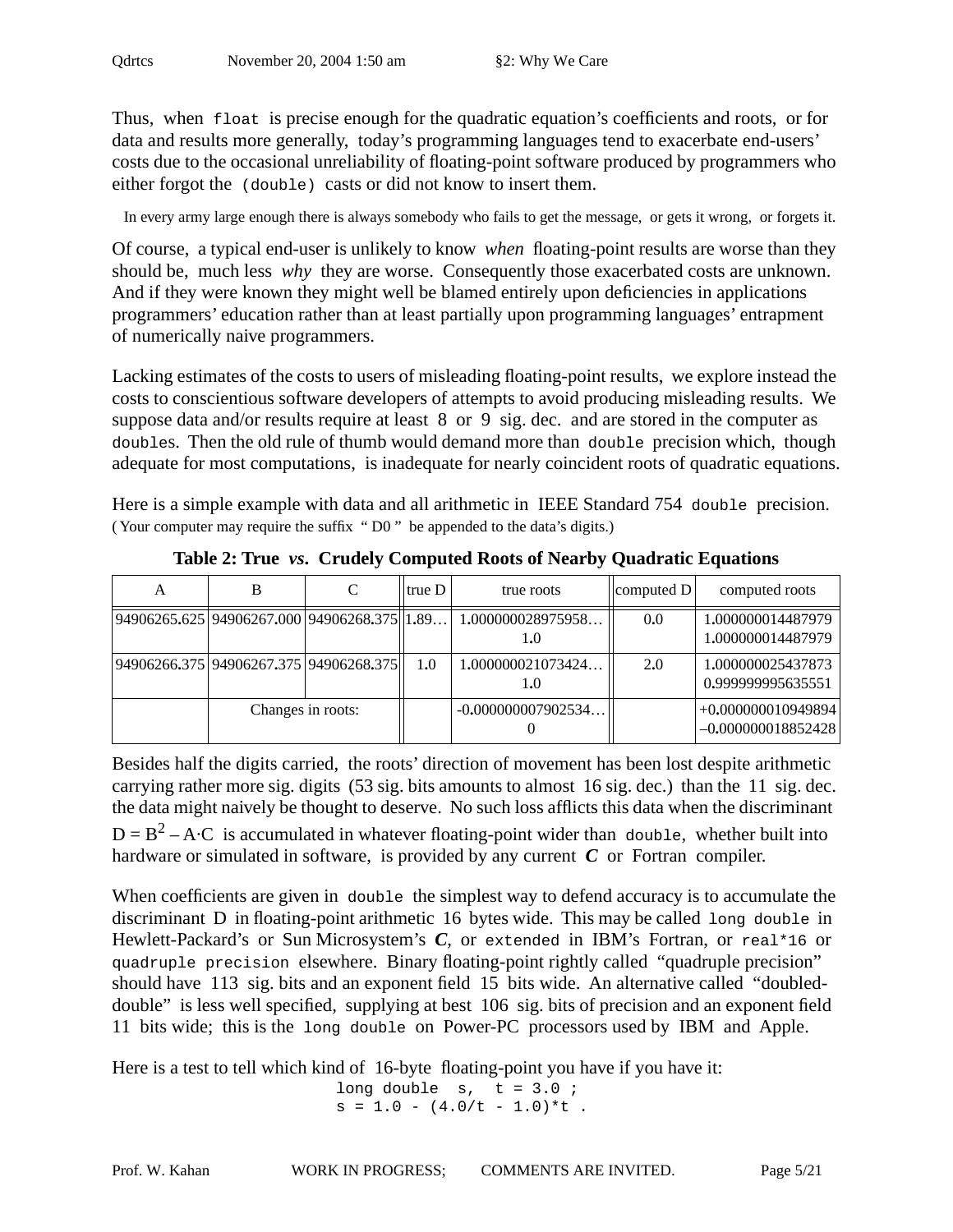Thus, when float is precise enough for the quadratic equation's coefficients and roots, or for data and results more generally, today's programming languages tend to exacerbate end-users' costs due to the occasional unreliability of floating-point software produced by programmers who either forgot the (double) casts or did not know to insert them.

In every army large enough there is always somebody who fails to get the message, or gets it wrong, or forgets it.

Of course, a typical end-user is unlikely to know *when* floating-point results are worse than they should be, much less *why* they are worse. Consequently those exacerbated costs are unknown. And if they were known they might well be blamed entirely upon deficiencies in applications programmers' education rather than at least partially upon programming languages' entrapment of numerically naive programmers.

Lacking estimates of the costs to users of misleading floating-point results, we explore instead the costs to conscientious software developers of attempts to avoid producing misleading results. We suppose data and/or results require at least 8 or 9 sig. dec. and are stored in the computer as doubles. Then the old rule of thumb would demand more than double precision which, though adequate for most computations, is inadequate for nearly coincident roots of quadratic equations.

Here is a simple example with data and all arithmetic in IEEE Standard 754 double precision. ( Your computer may require the suffix " D0 " be appended to the data's digits.)

| A | в                                            |                   | true D | true roots               | $\vert$ computed D $\vert$ | computed roots                               |
|---|----------------------------------------------|-------------------|--------|--------------------------|----------------------------|----------------------------------------------|
|   | 94906265.625 94906267.000 94906268.375  1.89 |                   |        | 1.000000028975958<br>1.0 | 0.0                        | 1,000000014487979<br>1,000000014487979       |
|   | 94906266.375 94906267.375 94906268.375       |                   | 1.0    | 1.000000021073424<br>1.0 | 2.0                        | 1,000000025437873<br>0.999999995635551       |
|   |                                              | Changes in roots: |        | $-0.000000007902534$     |                            | $+0.000000010949894$<br>$-0.000000018852428$ |

**Table 2: True** *vs***. Crudely Computed Roots of Nearby Quadratic Equations**

Besides half the digits carried, the roots' direction of movement has been lost despite arithmetic carrying rather more sig. digits (53 sig. bits amounts to almost 16 sig. dec.) than the 11 sig. dec. the data might naively be thought to deserve. No such loss afflicts this data when the discriminant  $D = B<sup>2</sup> - A \cdot C$  is accumulated in whatever floating-point wider than double, whether built into hardware or simulated in software, is provided by any current *C* or Fortran compiler.

When coefficients are given in double the simplest way to defend accuracy is to accumulate the discriminant D in floating-point arithmetic 16 bytes wide. This may be called long double in Hewlett-Packard's or Sun Microsystem's C, or extended in IBM's Fortran, or real\*16 or quadruple precision elsewhere. Binary floating-point rightly called "quadruple precision" should have 113 sig. bits and an exponent field 15 bits wide. An alternative called "doubleddouble" is less well specified, supplying at best 106 sig. bits of precision and an exponent field 11 bits wide; this is the long double on Power-PC processors used by IBM and Apple.

Here is a test to tell which kind of 16-byte floating-point you have if you have it:

long double  $s, t = 3.0$ ;  $s = 1.0 - (4.0/t - 1.0)$ \*t.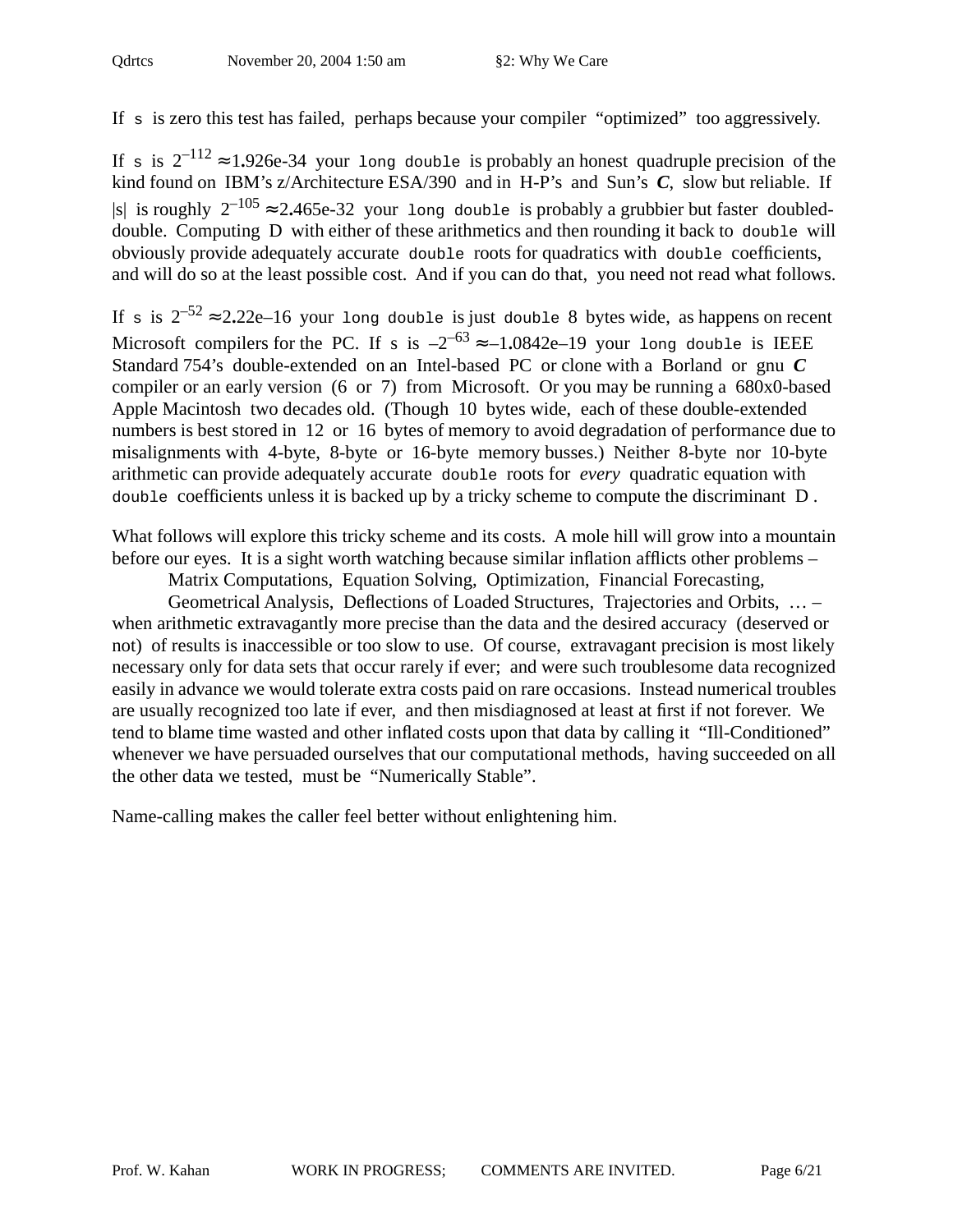If s is zero this test has failed, perhaps because your compiler "optimized" too aggressively.

If s is  $2^{-112} \approx 1.926e-34$  your long double is probably an honest quadruple precision of the kind found on IBM's z/Architecture ESA/390 and in H-P's and Sun's *C*, slow but reliable. If |s| is roughly  $2^{-105} \approx 2.465e-32$  your long double is probably a grubbier but faster doubleddouble. Computing D with either of these arithmetics and then rounding it back to double will obviously provide adequately accurate double roots for quadratics with double coefficients, and will do so at the least possible cost. And if you can do that, you need not read what follows.

If s is  $2^{-52} \approx 2.22e-16$  your long double is just double 8 bytes wide, as happens on recent Microsoft compilers for the PC. If s is  $-2^{-63} \approx -1.0842e-19$  your long double is IEEE Standard 754's double-extended on an Intel-based PC or clone with a Borland or gnu *C* compiler or an early version (6 or 7) from Microsoft. Or you may be running a 680x0-based Apple Macintosh two decades old. (Though 10 bytes wide, each of these double-extended numbers is best stored in 12 or 16 bytes of memory to avoid degradation of performance due to misalignments with 4-byte, 8-byte or 16-byte memory busses.) Neither 8-byte nor 10-byte arithmetic can provide adequately accurate double roots for *every* quadratic equation with double coefficients unless it is backed up by a tricky scheme to compute the discriminant D .

What follows will explore this tricky scheme and its costs. A mole hill will grow into a mountain before our eyes. It is a sight worth watching because similar inflation afflicts other problems –

Matrix Computations, Equation Solving, Optimization, Financial Forecasting,

Geometrical Analysis, Deflections of Loaded Structures, Trajectories and Orbits, … – when arithmetic extravagantly more precise than the data and the desired accuracy (deserved or not) of results is inaccessible or too slow to use. Of course, extravagant precision is most likely necessary only for data sets that occur rarely if ever; and were such troublesome data recognized easily in advance we would tolerate extra costs paid on rare occasions. Instead numerical troubles are usually recognized too late if ever, and then misdiagnosed at least at first if not forever. We tend to blame time wasted and other inflated costs upon that data by calling it "Ill-Conditioned" whenever we have persuaded ourselves that our computational methods, having succeeded on all the other data we tested, must be "Numerically Stable".

Name-calling makes the caller feel better without enlightening him.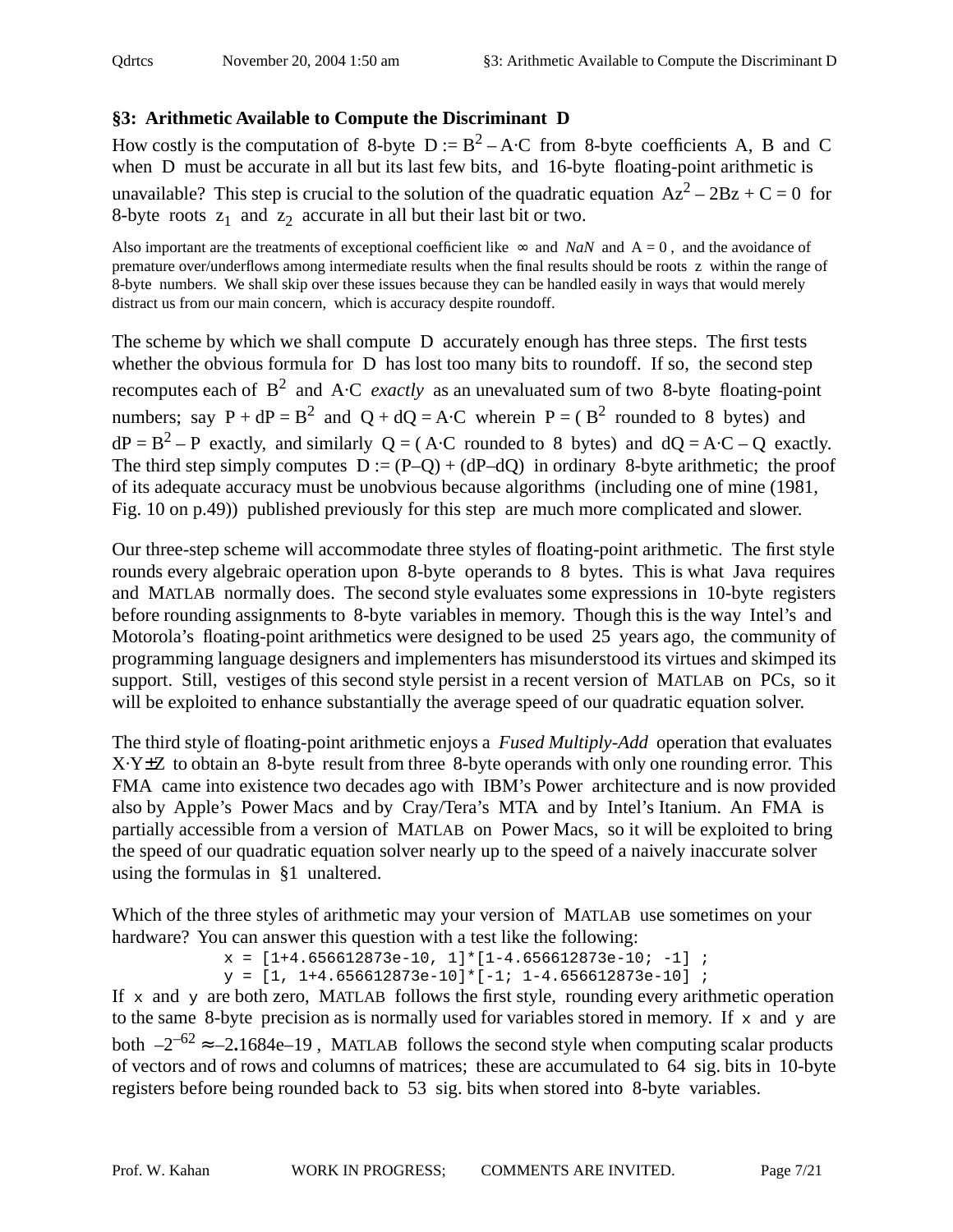# **§3: Arithmetic Available to Compute the Discriminant D**

How costly is the computation of 8-byte  $D := B^2 - A \cdot C$  from 8-byte coefficients A, B and C when D must be accurate in all but its last few bits, and 16-byte floating-point arithmetic is unavailable? This step is crucial to the solution of the quadratic equation  $Az^{2} - 2Bz + C = 0$  for 8-byte roots  $z_1$  and  $z_2$  accurate in all but their last bit or two.

Also important are the treatments of exceptional coefficient like  $\infty$  and *NaN* and A = 0, and the avoidance of premature over/underflows among intermediate results when the final results should be roots z within the range of 8-byte numbers. We shall skip over these issues because they can be handled easily in ways that would merely distract us from our main concern, which is accuracy despite roundoff.

The scheme by which we shall compute D accurately enough has three steps. The first tests whether the obvious formula for D has lost too many bits to roundoff. If so, the second step recomputes each of B2 and A·C *exactly* as an unevaluated sum of two 8-byte floating-point numbers; say  $P + dP = B^2$  and  $Q + dQ = A \cdot C$  wherein  $P = (B^2 \text{ rounded to } 8 \text{ bytes})$  and  $dP = B^2 - P$  exactly, and similarly  $Q = (A \cdot C$  rounded to 8 bytes) and  $dQ = A \cdot C - Q$  exactly. The third step simply computes  $D := (P-Q) + (dP-dQ)$  in ordinary 8-byte arithmetic; the proof of its adequate accuracy must be unobvious because algorithms (including one of mine (1981, Fig. 10 on p.49)) published previously for this step are much more complicated and slower.

Our three-step scheme will accommodate three styles of floating-point arithmetic. The first style rounds every algebraic operation upon 8-byte operands to 8 bytes. This is what Java requires and MATLAB normally does. The second style evaluates some expressions in 10-byte registers before rounding assignments to 8-byte variables in memory. Though this is the way Intel's and Motorola's floating-point arithmetics were designed to be used 25 years ago, the community of programming language designers and implementers has misunderstood its virtues and skimped its support. Still, vestiges of this second style persist in a recent version of MATLAB on PCs, so it will be exploited to enhance substantially the average speed of our quadratic equation solver.

The third style of floating-point arithmetic enjoys a *Fused Multiply-Add* operation that evaluates X·Y±Z to obtain an 8-byte result from three 8-byte operands with only one rounding error. This FMA came into existence two decades ago with IBM's Power architecture and is now provided also by Apple's Power Macs and by Cray/Tera's MTA and by Intel's Itanium. An FMA is partially accessible from a version of MATLAB on Power Macs, so it will be exploited to bring the speed of our quadratic equation solver nearly up to the speed of a naively inaccurate solver using the formulas in §1 unaltered.

Which of the three styles of arithmetic may your version of MATLAB use sometimes on your hardware? You can answer this question with a test like the following:

 $x = [1+4.656612873e-10, 1] * [1-4.656612873e-10; -1]$ ;  $y = [1, 1+4.656612873e-10]*[-1; 1-4.656612873e-10]$ 

If x and y are both zero, MATLAB follows the first style, rounding every arithmetic operation to the same 8-byte precision as is normally used for variables stored in memory. If  $x$  and  $y$  are both  $-2^{-62} \approx -2.1684e-19$ , MATLAB follows the second style when computing scalar products of vectors and of rows and columns of matrices; these are accumulated to 64 sig. bits in 10-byte registers before being rounded back to 53 sig. bits when stored into 8-byte variables.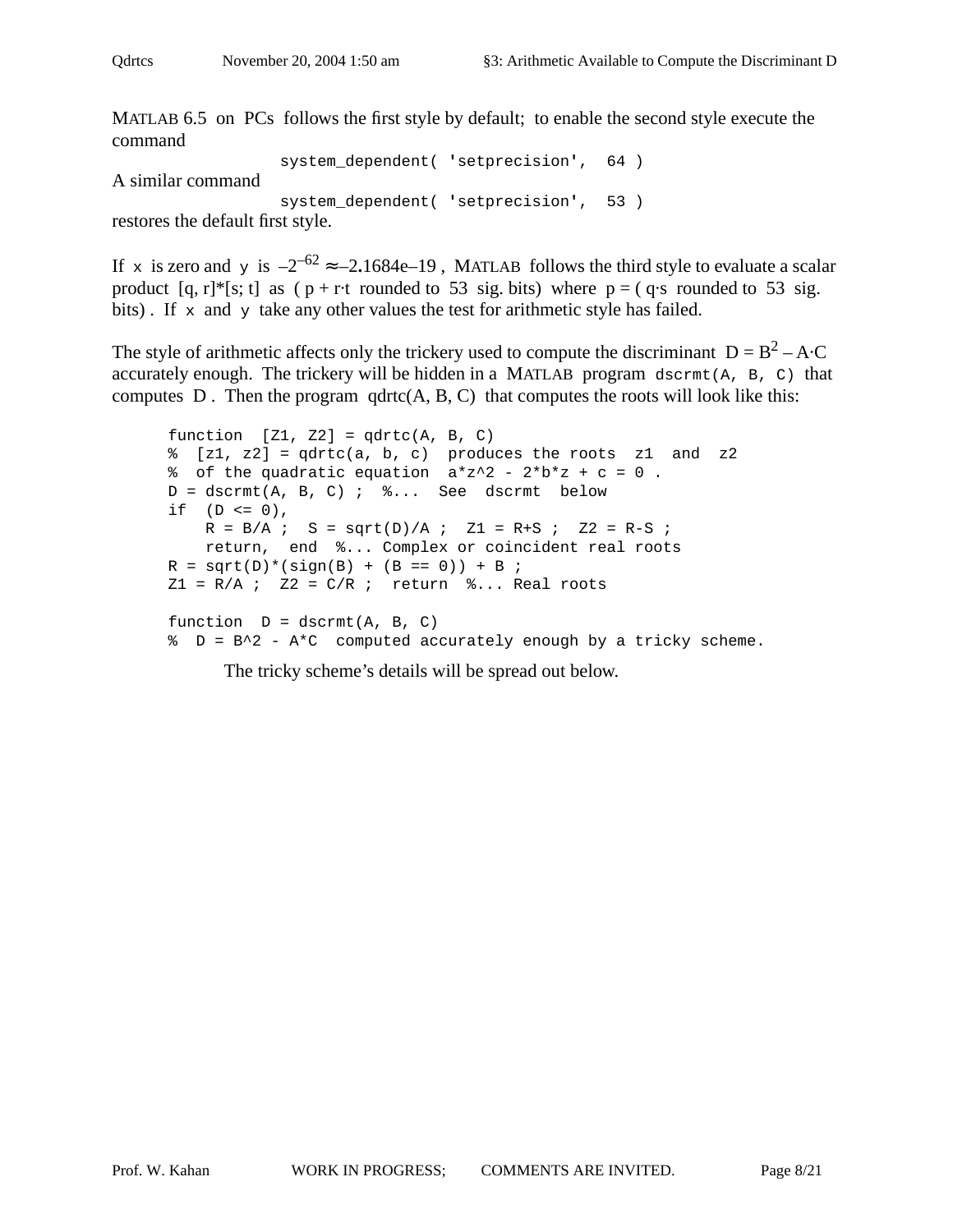MATLAB 6.5 on PCs follows the first style by default; to enable the second style execute the command

system\_dependent( **'**setprecision**'**, 64 ) A similar command system\_dependent( **'**setprecision**'**, 53 ) restores the default first style.

If x is zero and y is  $-2^{-62} \approx -2.1684e-19$ , MATLAB follows the third style to evaluate a scalar product  $[q, r]^*$ [s; t] as ( $p + r$ ·t rounded to 53 sig. bits) where  $p = (q \cdot s \text{ rounded to } 53 \text{ sig.})$ bits). If  $x$  and  $y$  take any other values the test for arithmetic style has failed.

The style of arithmetic affects only the trickery used to compute the discriminant  $D = B^2 - A \cdot C$ accurately enough. The trickery will be hidden in a MATLAB program dscrmt(A, B, C) that computes  $D$ . Then the program  $qdt$   $c(A, B, C)$  that computes the roots will look like this:

```
function [Z1, Z2] = qdrtc(A, B, C)\{z1, z2\} = qdrtc(a, b, c) produces the roots z1 and z2
% of the quadratic equation a*z^2 - 2*b*z + c = 0.
D = \text{dscrmt}(A, B, C) ; \text{\%}... See dscrmt below
if (D \le 0),
   R = B/A ; S = sqrt(D)/A ; Z1 = R+S ; Z2 = R-S ;
    return, end %... Complex or coincident real roots
R = sqrt(D)*(sign(B) + (B == 0)) + B ;
Z1 = R/A ; Z2 = C/R ; return \S... Real roots
function D = dscrmt(A, B, C)% D = B^2 - A*C computed accurately enough by a tricky scheme.
```
The tricky scheme's details will be spread out below.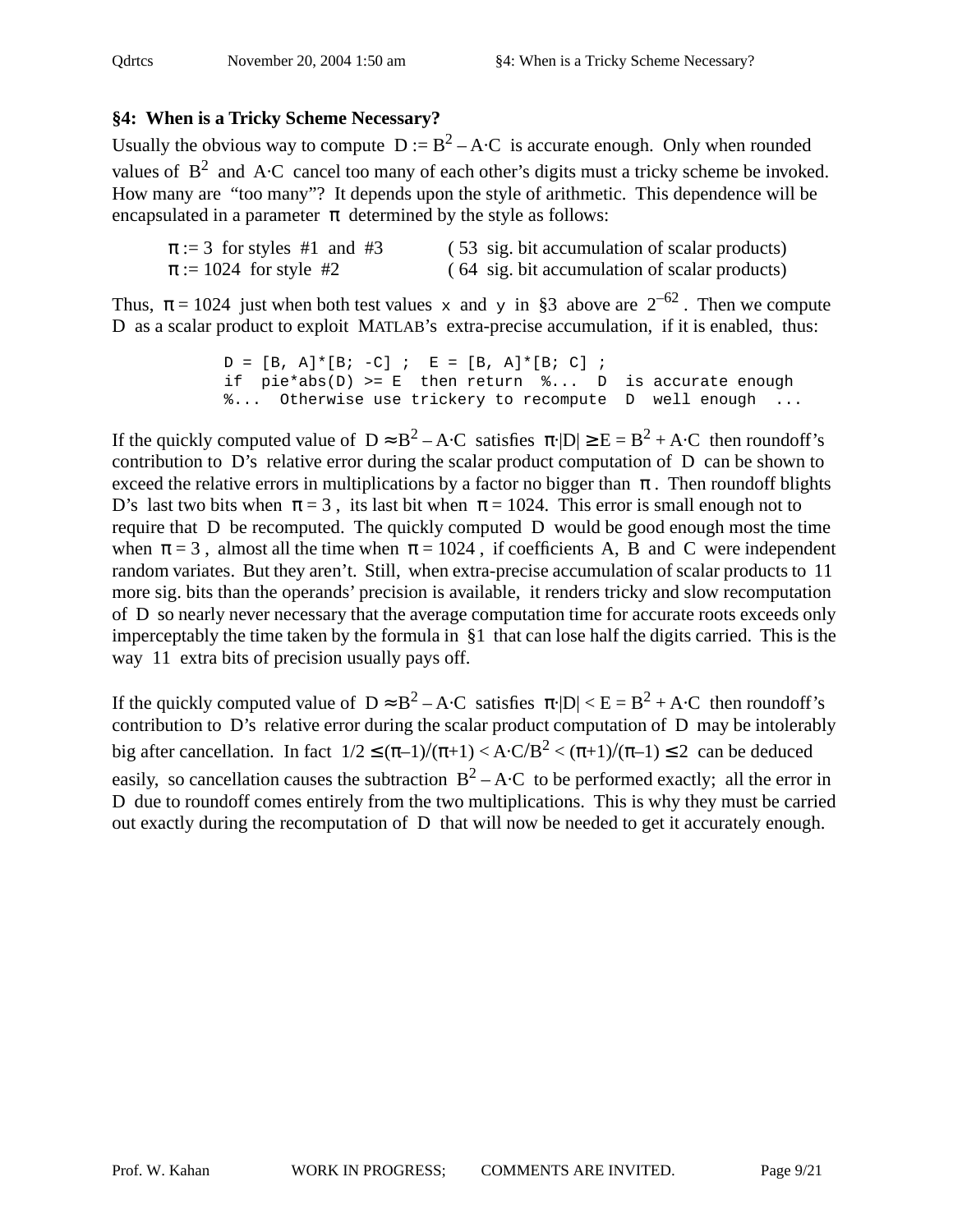# **§4: When is a Tricky Scheme Necessary?**

Usually the obvious way to compute  $D := B^2 - A \cdot C$  is accurate enough. Only when rounded values of  $B^2$  and A·C cancel too many of each other's digits must a tricky scheme be invoked. How many are "too many"? It depends upon the style of arithmetic. This dependence will be encapsulated in a parameter  $\pi$  determined by the style as follows:

| $\pi := 3$ for styles #1 and #3 | (53 sig. bit accumulation of scalar products) |
|---------------------------------|-----------------------------------------------|
| $\pi := 1024$ for style #2      | (64 sig. bit accumulation of scalar products) |

Thus,  $\pi = 1024$  just when both test values x and y in §3 above are  $2^{-62}$ . Then we compute D as a scalar product to exploit MATLAB's extra-precise accumulation, if it is enabled, thus:

```
D = [B, A] * [B; -C] ; E = [B, A] * [B; C] ;
if pie*abs(D) >= E then return % ... D is accurate enough
%... Otherwise use trickery to recompute D well enough ...
```
If the quickly computed value of  $D \approx B^2 - A \cdot C$  satisfies  $\pi$ · $|D| \ge E = B^2 + A \cdot C$  then roundoff's contribution to D's relative error during the scalar product computation of D can be shown to exceed the relative errors in multiplications by a factor no bigger than  $\pi$ . Then roundoff blights D's last two bits when  $\pi = 3$ , its last bit when  $\pi = 1024$ . This error is small enough not to require that D be recomputed. The quickly computed D would be good enough most the time when  $\pi = 3$ , almost all the time when  $\pi = 1024$ , if coefficients A, B and C were independent random variates. But they aren't. Still, when extra-precise accumulation of scalar products to 11 more sig. bits than the operands' precision is available, it renders tricky and slow recomputation of D so nearly never necessary that the average computation time for accurate roots exceeds only imperceptably the time taken by the formula in §1 that can lose half the digits carried. This is the way 11 extra bits of precision usually pays off.

If the quickly computed value of  $D \approx B^2 - A \cdot C$  satisfies  $\pi \cdot |D| < E = B^2 + A \cdot C$  then roundoff's contribution to D's relative error during the scalar product computation of D may be intolerably big after cancellation. In fact  $1/2 \leq (\pi - 1)/(\pi + 1) < A \cdot C/B^2 < (\pi + 1)/(\pi - 1) \leq 2$  can be deduced easily, so cancellation causes the subtraction  $B^2 - A \cdot C$  to be performed exactly; all the error in D due to roundoff comes entirely from the two multiplications. This is why they must be carried out exactly during the recomputation of D that will now be needed to get it accurately enough.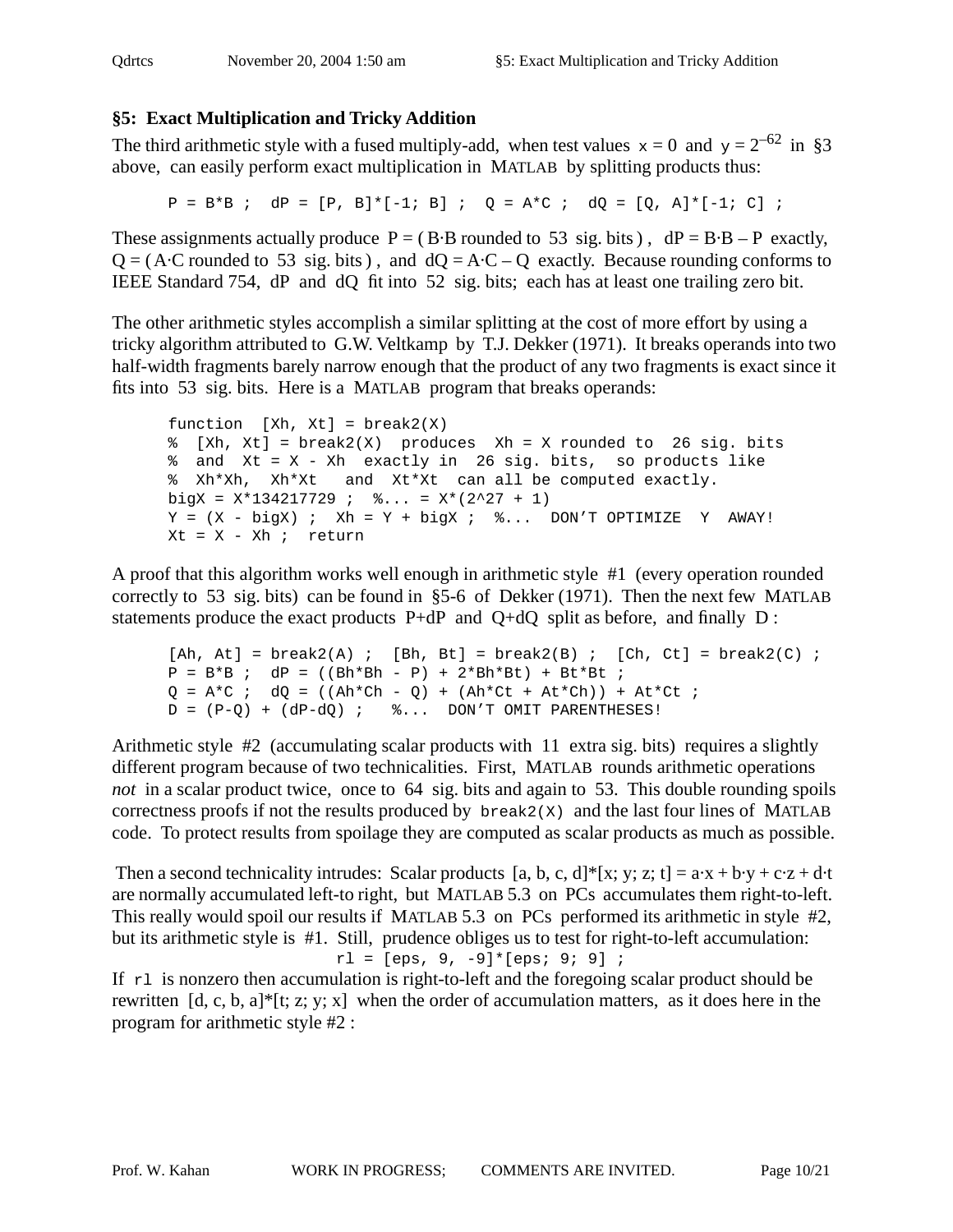# **§5: Exact Multiplication and Tricky Addition**

The third arithmetic style with a fused multiply-add, when test values  $x = 0$  and  $y = 2^{-62}$  in §3 above, can easily perform exact multiplication in MATLAB by splitting products thus:

 $P = B*B$ ;  $dP = [P, B]*[-1; B]$ ;  $Q = A*C$ ;  $dQ = [Q, A]*[-1; C]$ ;

These assignments actually produce  $P = (B \cdot B \text{ rounded to } 53 \text{ sig. bits})$ ,  $dP = B \cdot B - P$  exactly,  $Q = (A \cdot C \text{ rounded to } 53 \text{ sig. bits})$ , and  $dQ = A \cdot C - Q$  exactly. Because rounding conforms to IEEE Standard 754, dP and dQ fit into 52 sig. bits; each has at least one trailing zero bit.

The other arithmetic styles accomplish a similar splitting at the cost of more effort by using a tricky algorithm attributed to G.W. Veltkamp by T.J. Dekker (1971). It breaks operands into two half-width fragments barely narrow enough that the product of any two fragments is exact since it fits into 53 sig. bits. Here is a MATLAB program that breaks operands:

```
function [Xh, Xt] = break2(X)\{Xh, Xt\} = break2(X) produces Xh = X rounded to 26 sig. bits
% and Xt = X - Xh exactly in 26 sig. bits, so products like
% Xh*Xh, Xh*Xt and Xt*Xt can all be computed exactly.
bigX = X*134217729 ; \frac{1}{2}... = X*(2^27 + 1)Y = (X - bigX); Xh = Y + bigX; \% \ldots DON'T OPTIMIZE Y AWAY!
Xt = X - Xh ; return
```
A proof that this algorithm works well enough in arithmetic style #1 (every operation rounded correctly to 53 sig. bits) can be found in §5-6 of Dekker (1971). Then the next few MATLAB statements produce the exact products P+dP and Q+dQ split as before, and finally D :

```
[Ah, At] = break2(A); [Bh, Bt] = break2(B); [Ch, Ct] = break2(C);
P = B*B; dP = ((Bh*Bh - P) + 2*Bh*Bt) + Bt*Bt;Q = A*C ; dQ = ((Ah * Ch - Q) + (Ah * Ct + At * Ch)) + At * Ct;
D = (P-Q) + (dP-dQ); \&\ldots DON'T OMIT PARENTHESES!
```
Arithmetic style #2 (accumulating scalar products with 11 extra sig. bits) requires a slightly different program because of two technicalities. First, MATLAB rounds arithmetic operations *not* in a scalar product twice, once to 64 sig. bits and again to 53. This double rounding spoils correctness proofs if not the results produced by  $b$ reak2(X) and the last four lines of MATLAB code. To protect results from spoilage they are computed as scalar products as much as possible.

Then a second technicality intrudes: Scalar products [a, b, c, d]\*[x; y; z; t] =  $a \cdot x + b \cdot y + c \cdot z + d \cdot t$ are normally accumulated left-to right, but MATLAB 5.3 on PCs accumulates them right-to-left. This really would spoil our results if MATLAB 5.3 on PCs performed its arithmetic in style #2, but its arithmetic style is #1. Still, prudence obliges us to test for right-to-left accumulation:  $r1 = [eps, 9, -9] * [eps; 9; 9]$ ;

If  $r1$  is nonzero then accumulation is right-to-left and the foregoing scalar product should be rewritten  $[d, c, b, a]^*$ [t; z; y; x] when the order of accumulation matters, as it does here in the program for arithmetic style #2 :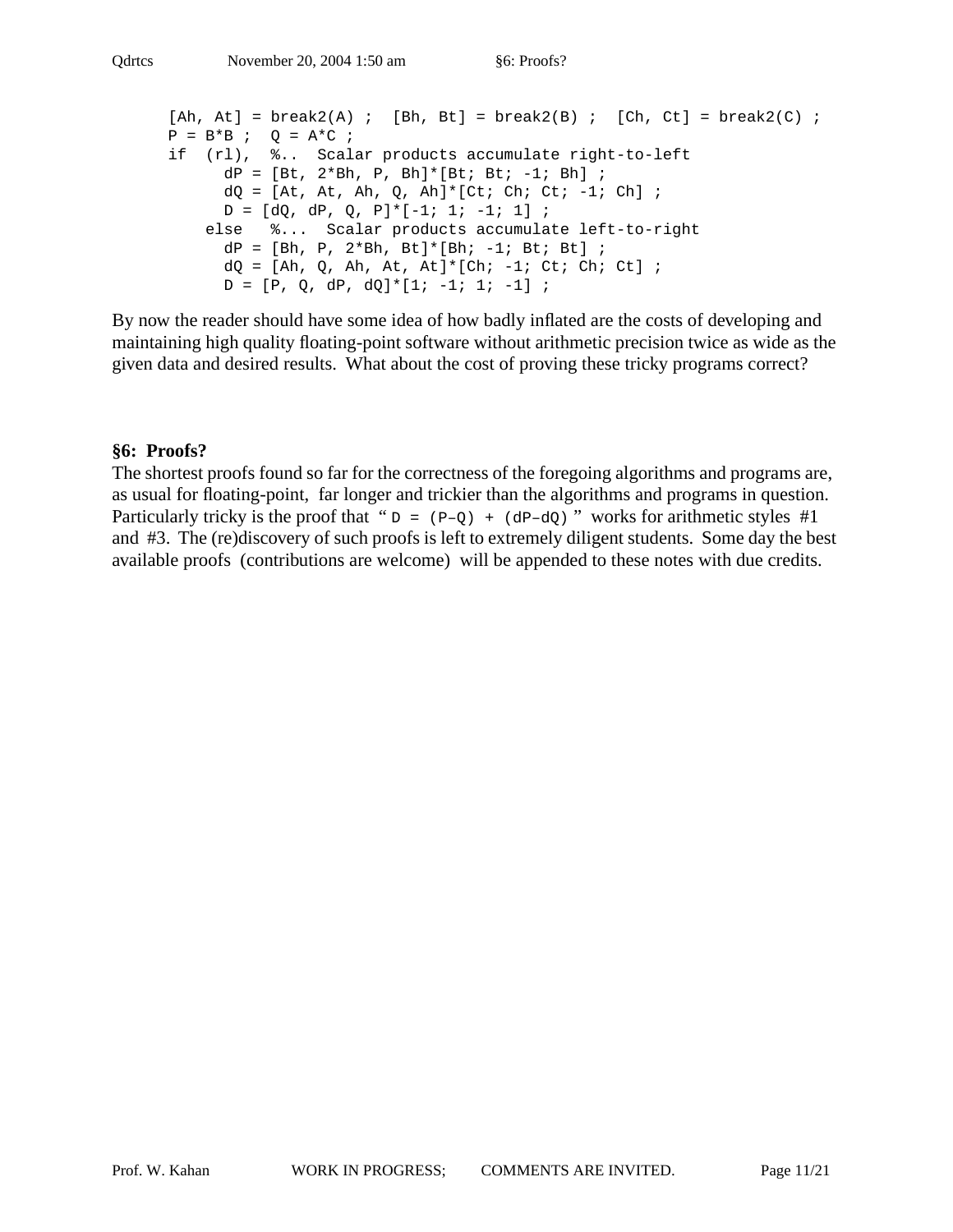```
[Ah, At] = break2(A); [Bh, Bt] = break2(B); [Ch, Ct] = break2(C);
P = B*B ; Q = A*C ;
if (rl), %.. Scalar products accumulate right-to-left
     dP = [Bt, 2*Bh, P, Bh]*[Bt; Bt;-1; Bh];
     dQ = [At, At, Ah, Q, Ah] * [Cti Ch; Ct; -1; Ch];D = [dQ, dP, Q, P] * [-1; 1; -1; 1];
    else %... Scalar products accumulate left-to-right
     dP = [Bh, P, 2*Bh, Bt]*[Bh; -1; Bt; Bt];
     dQ = [Ah, Q, Ah, At, At]^*[Ch; -1; Ct; Ch; Ct];D = [P, Q, dP, dQ]^*[1; -1; 1; -1];
```
By now the reader should have some idea of how badly inflated are the costs of developing and maintaining high quality floating-point software without arithmetic precision twice as wide as the given data and desired results. What about the cost of proving these tricky programs correct?

#### **§6: Proofs?**

The shortest proofs found so far for the correctness of the foregoing algorithms and programs are, as usual for floating-point, far longer and trickier than the algorithms and programs in question. Particularly tricky is the proof that " $D = (P-Q) + (dP-dQ)$ " works for arithmetic styles #1 and #3. The (re)discovery of such proofs is left to extremely diligent students. Some day the best available proofs (contributions are welcome) will be appended to these notes with due credits.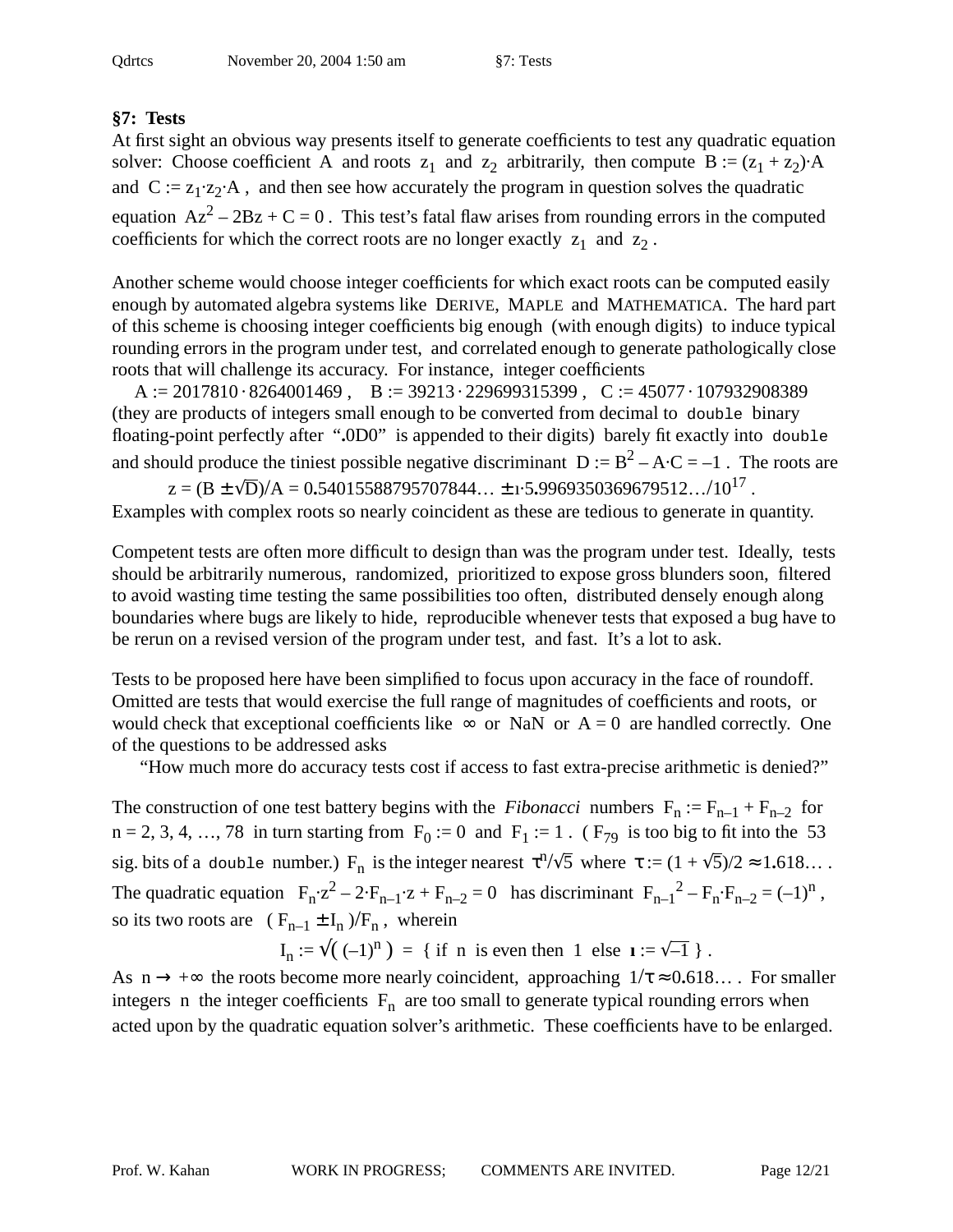# **§7: Tests**

At first sight an obvious way presents itself to generate coefficients to test any quadratic equation solver: Choose coefficient A and roots  $z_1$  and  $z_2$  arbitrarily, then compute  $B := (z_1 + z_2) \cdot A$ and  $C := z_1 \cdot z_2 \cdot A$ , and then see how accurately the program in question solves the quadratic equation  $Az^{2} - 2Bz + C = 0$ . This test's fatal flaw arises from rounding errors in the computed coefficients for which the correct roots are no longer exactly  $z_1$  and  $z_2$ .

Another scheme would choose integer coefficients for which exact roots can be computed easily enough by automated algebra systems like DERIVE, MAPLE and MATHEMATICA. The hard part of this scheme is choosing integer coefficients big enough (with enough digits) to induce typical rounding errors in the program under test, and correlated enough to generate pathologically close roots that will challenge its accuracy. For instance, integer coefficients

A := 2017810 · 8264001469, B := 39213 · 229699315399, C := 45077 · 107932908389 (they are products of integers small enough to be converted from decimal to double binary floating-point perfectly after "**.**0D0" is appended to their digits) barely fit exactly into double and should produce the tiniest possible negative discriminant  $D := B^2 - A \cdot C = -1$ . The roots are

 $z = (B \pm \sqrt{D})/A = 0.54015588795707844... \pm 1.5.9969350369679512.../10^{17}$ .

Examples with complex roots so nearly coincident as these are tedious to generate in quantity.

Competent tests are often more difficult to design than was the program under test. Ideally, tests should be arbitrarily numerous, randomized, prioritized to expose gross blunders soon, filtered to avoid wasting time testing the same possibilities too often, distributed densely enough along boundaries where bugs are likely to hide, reproducible whenever tests that exposed a bug have to be rerun on a revised version of the program under test, and fast. It's a lot to ask.

Tests to be proposed here have been simplified to focus upon accuracy in the face of roundoff. Omitted are tests that would exercise the full range of magnitudes of coefficients and roots, or would check that exceptional coefficients like  $\infty$  or NaN or  $A = 0$  are handled correctly. One of the questions to be addressed asks

"How much more do accuracy tests cost if access to fast extra-precise arithmetic is denied?"

The construction of one test battery begins with the *Fibonacci* numbers  $F_n := F_{n-1} + F_{n-2}$  for  $n = 2, 3, 4, \ldots, 78$  in turn starting from  $F_0 := 0$  and  $F_1 := 1$ . ( $F_{79}$  is too big to fit into the 53 sig. bits of a double number.) F<sub>n</sub> is the integer nearest  $\tau^{n}/\sqrt{5}$  where  $\tau := (1 + \sqrt{5})/2 \approx 1.618...$ The quadratic equation  $F_n z^2 - 2 F_{n-1} z + F_{n-2} = 0$  has discriminant  $F_{n-1}^2 - F_n F_{n-2} = (-1)^n$ , so its two roots are  $(F_{n-1} \pm I_n)/F_n$ , wherein

 $I_n := \sqrt{(1 - 1)^n} = \{ \text{ if } n \text{ is even then } 1 \text{ else } 1 = \sqrt{-1} \}$ .

As  $n \to +\infty$  the roots become more nearly coincident, approaching  $1/\tau \approx 0.618...$  For smaller integers n the integer coefficients  $F_n$  are too small to generate typical rounding errors when acted upon by the quadratic equation solver's arithmetic. These coefficients have to be enlarged.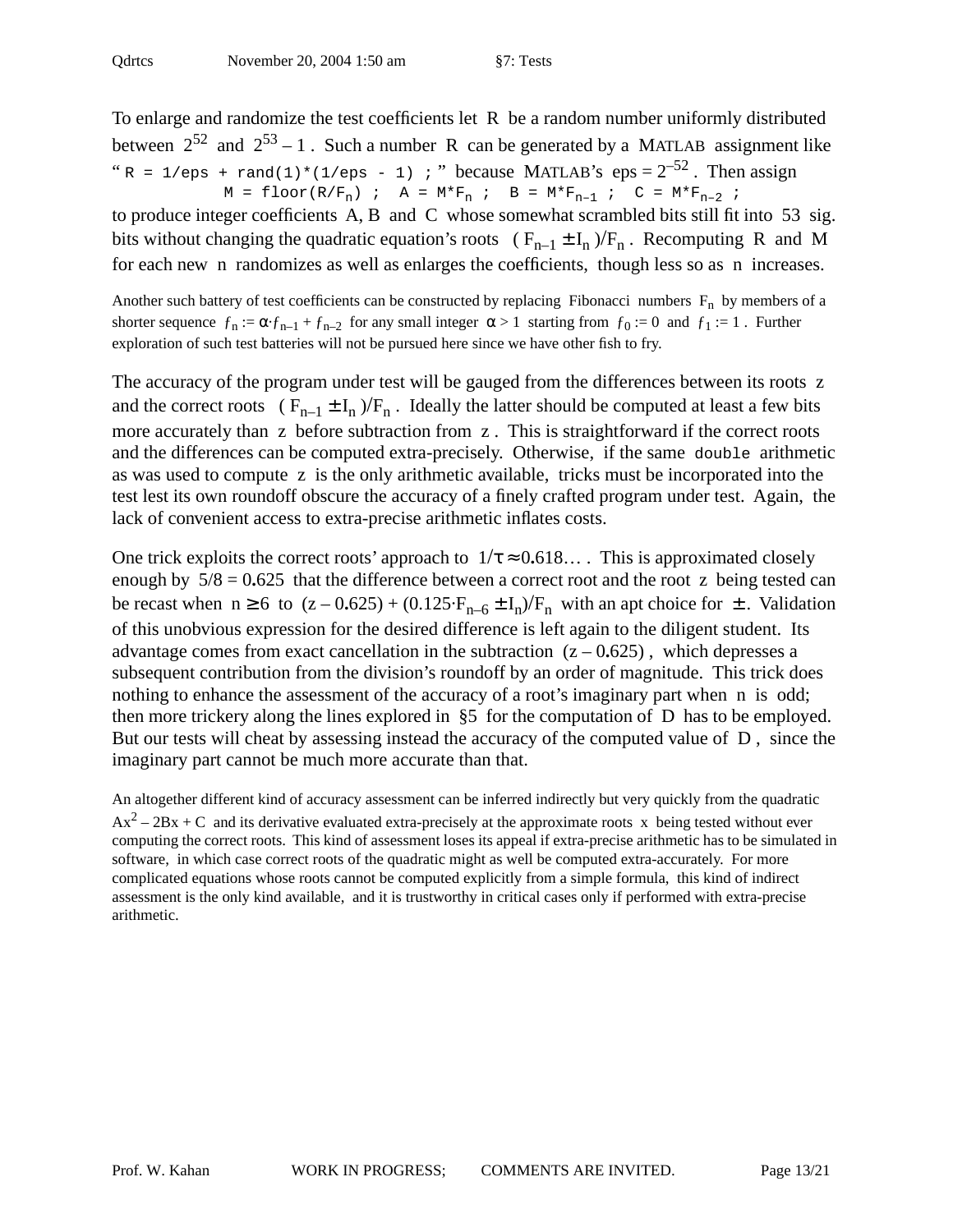To enlarge and randomize the test coefficients let R be a random number uniformly distributed between  $2^{52}$  and  $2^{53} - 1$ . Such a number R can be generated by a MATLAB assignment like " R = 1/eps + rand(1)\*(1/eps - 1) ; " because MATLAB's eps =  $2^{-52}$ . Then assign  $M = \text{floor}(R/F_n)$  ;  $A = M*F_n$  ;  $B = M*F_{n-1}$  ;  $C = M*F_{n-2}$  ;

to produce integer coefficients A, B and C whose somewhat scrambled bits still fit into 53 sig. bits without changing the quadratic equation's roots ( $F_{n-1} \pm I_n$ )/ $F_n$ . Recomputing R and M for each new n randomizes as well as enlarges the coefficients, though less so as n increases.

Another such battery of test coefficients can be constructed by replacing Fibonacci numbers  $F_n$  by members of a shorter sequence  $f_n := \alpha f_{n-1} + f_{n-2}$  for any small integer  $\alpha > 1$  starting from  $f_0 := 0$  and  $f_1 := 1$ . Further exploration of such test batteries will not be pursued here since we have other fish to fry.

The accuracy of the program under test will be gauged from the differences between its roots z and the correct roots ( $F_{n-1} \pm I_n$ )/ $F_n$ . Ideally the latter should be computed at least a few bits more accurately than z before subtraction from z . This is straightforward if the correct roots and the differences can be computed extra-precisely. Otherwise, if the same double arithmetic as was used to compute z is the only arithmetic available, tricks must be incorporated into the test lest its own roundoff obscure the accuracy of a finely crafted program under test. Again, the lack of convenient access to extra-precise arithmetic inflates costs.

One trick exploits the correct roots' approach to  $1/\tau \approx 0.618...$  This is approximated closely enough by 5/8 = 0**.**625 that the difference between a correct root and the root z being tested can be recast when  $n \ge 6$  to  $(z - 0.625) + (0.125 \cdot F_{n-6} \pm I_n)/F_n$  with an apt choice for  $\pm$ . Validation of this unobvious expression for the desired difference is left again to the diligent student. Its advantage comes from exact cancellation in the subtraction  $(z - 0.625)$ , which depresses a subsequent contribution from the division's roundoff by an order of magnitude. This trick does nothing to enhance the assessment of the accuracy of a root's imaginary part when n is odd; then more trickery along the lines explored in §5 for the computation of D has to be employed. But our tests will cheat by assessing instead the accuracy of the computed value of D , since the imaginary part cannot be much more accurate than that.

An altogether different kind of accuracy assessment can be inferred indirectly but very quickly from the quadratic  $Ax^{2} - 2Bx + C$  and its derivative evaluated extra-precisely at the approximate roots x being tested without ever computing the correct roots. This kind of assessment loses its appeal if extra-precise arithmetic has to be simulated in software, in which case correct roots of the quadratic might as well be computed extra-accurately. For more complicated equations whose roots cannot be computed explicitly from a simple formula, this kind of indirect assessment is the only kind available, and it is trustworthy in critical cases only if performed with extra-precise arithmetic.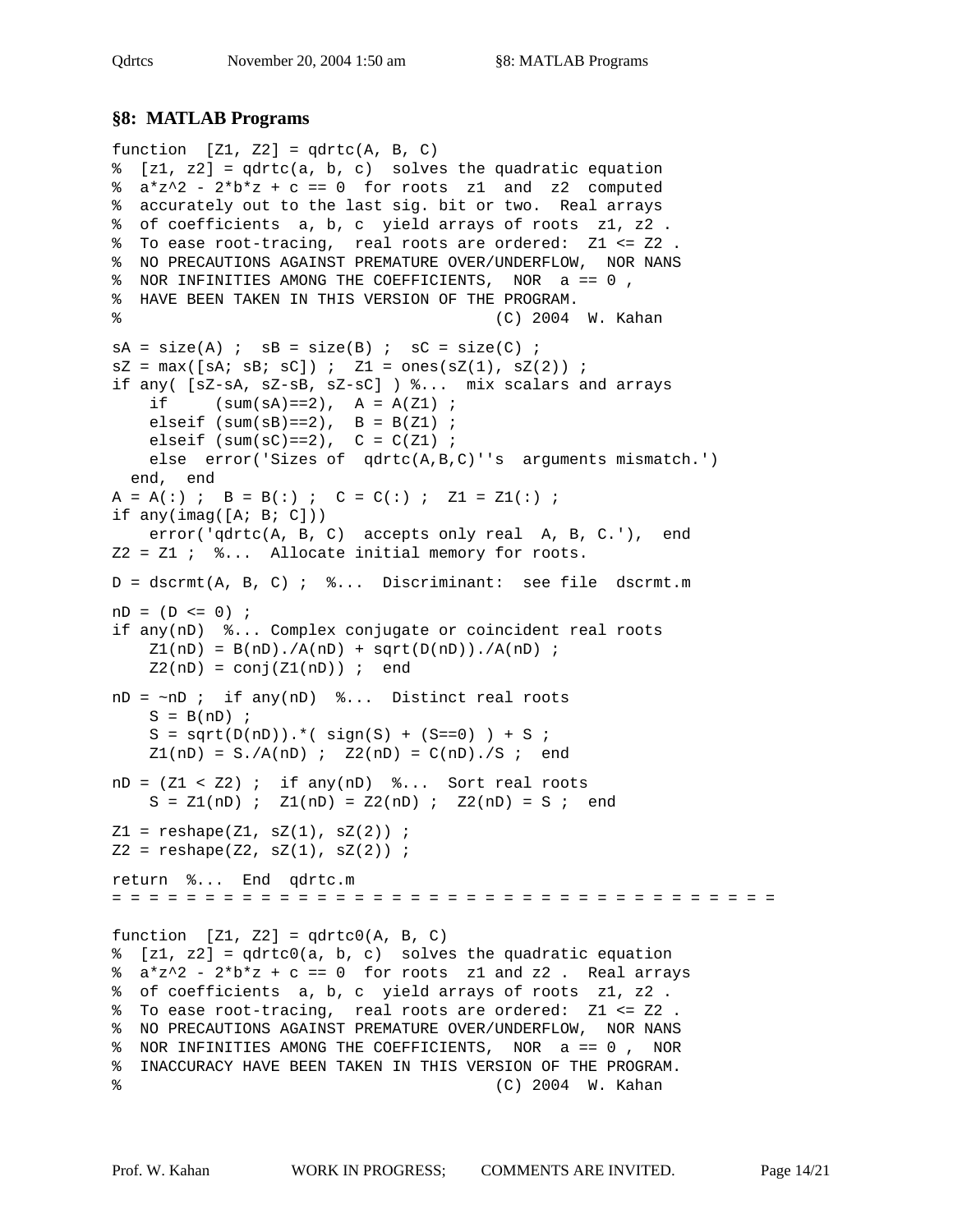#### **§8: MATLAB Programs**

```
function [Z1, Z2] = qdrtc(A, B, C)% [z1, z2] = qdrtc(a, b, c) solves the quadratic equation
a * z^2 - 2 * b * z + c == 0 for roots z1 and z2 computed
% accurately out to the last sig. bit or two. Real arrays
% of coefficients a, b, c yield arrays of roots z1, z2 .
% To ease root-tracing, real roots are ordered: Z1 <= Z2 .
% NO PRECAUTIONS AGAINST PREMATURE OVER/UNDERFLOW, NOR NANS
% NOR INFINITIES AMONG THE COEFFICIENTS, NOR a == 0 ,
% HAVE BEEN TAKEN IN THIS VERSION OF THE PROGRAM.
% (C) 2004 W. Kahan
sA = size(A) ; sB = size(B) ; sC = size(C) ;
sZ = max([sA; sB; sC]) ; Z1 = ones(sZ(1), sz(2)) ;
if any( [sZ-sA, sZ-sB, sZ-sC] ) %... mix scalars and arrays
   if (sum(sA) == 2), A = A(Z1);
   elseif (sum(sB) == 2), B = B(Z1);
   elseif (sum(sC) == 2), C = C(Z1);
    else error('Sizes of qdrtc(A,B,C)''s arguments mismatch.')
  end, end
A = A(:) ; B = B(:) ; C = C(:) ; Z1 = Z1(:) ;
if any(\text{imag}(\text{[A; B; C]})) error('qdrtc(A, B, C) accepts only real A, B, C.'), end
Z2 = Z1 ; \S... Allocate initial memory for roots.
D = dscrmt(A, B, C) ; %... Discriminant: see file dscrmt.m
nD = (D \le 0) ;
if any(nD) %... Complex conjugate or coincident real roots
    Z1(nD) = B(nD) . / A(nD) + sqrt(D(nD)) . / A(nD);
    Z2(nD) = conj(Z1(nD)) ; end
nD = \sim nD ; if any(nD) \delta... Distinct real roots
   S = B(nD) ;
    S = sqrt(D(nD)). * (sign(S) + (S == 0)) + S ;
    Z1(nD) = S./A(nD) ; Z2(nD) = C(nD)./S ; end
nD = (Z1 < Z2); if any(nD) \delta... Sort real roots
   S = Z1(nD) ; Z1(nD) = Z2(nD) ; Z2(nD) = S ; end
Z1 = \text{reshape}(Z1, \text{ sZ}(1), \text{ sZ}(2)) ;
Z2 = \text{reshape}(Z2, \text{ sZ}(1), \text{ sZ}(2)) ;
return %... End qdrtc.m
= = = = = = = = = = = = = = = = = = = = = = = = = = = = = = = = = = = =
function [Z1, Z2] = qdrtc0(A, B, C)% [z1, z2] = qdrtc0(a, b, c) solves the quadratic equation
\frac{1}{2} a*z^2 - 2*b*z + c == 0 for roots z1 and z2. Real arrays
% of coefficients a, b, c yield arrays of roots z1, z2 .
% To ease root-tracing, real roots are ordered: Z1 <= Z2 .
% NO PRECAUTIONS AGAINST PREMATURE OVER/UNDERFLOW, NOR NANS
% NOR INFINITIES AMONG THE COEFFICIENTS, NOR a == 0 , NOR
% INACCURACY HAVE BEEN TAKEN IN THIS VERSION OF THE PROGRAM.
% (C) 2004 W. Kahan
```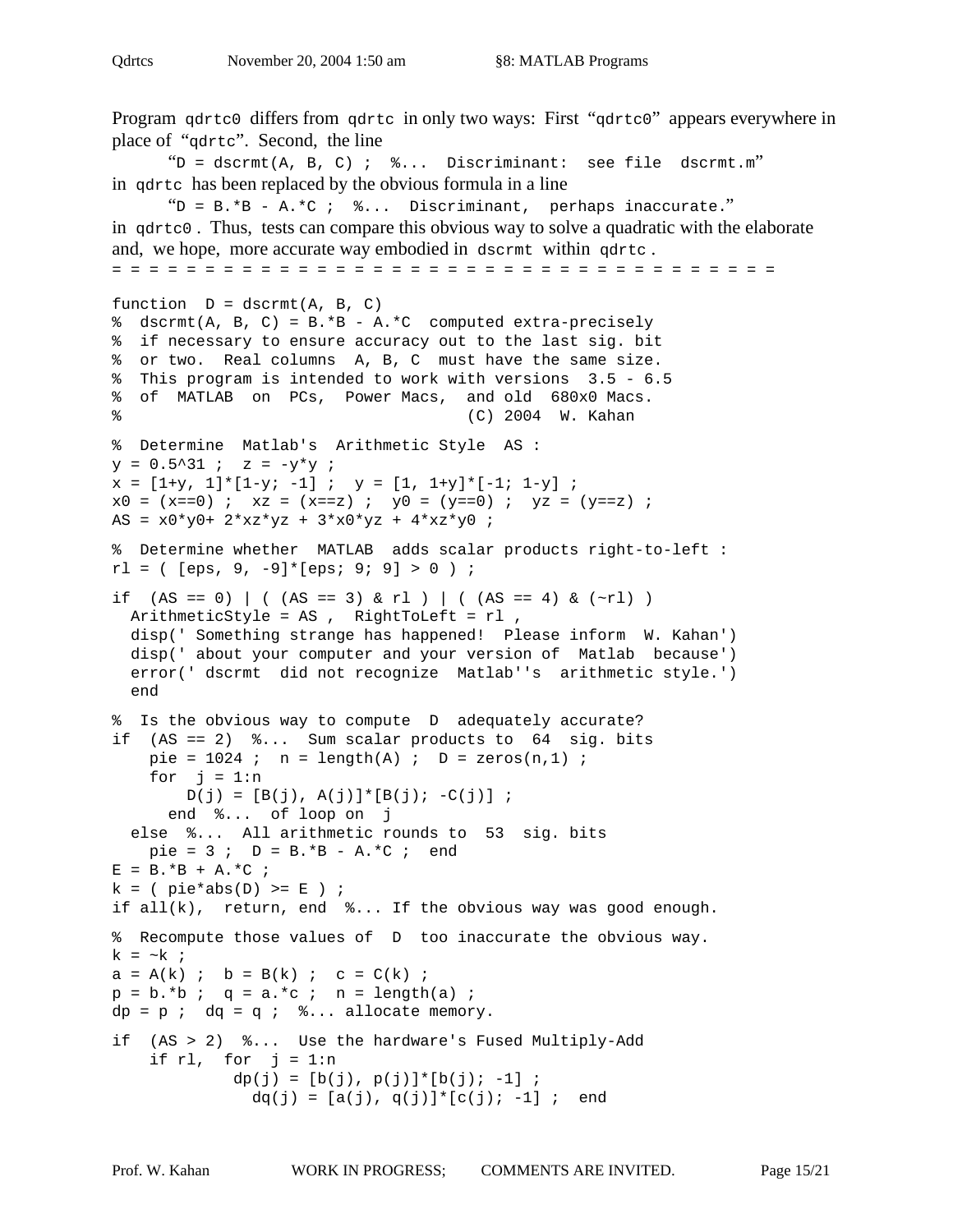Program qdrtc0 differs from qdrtc in only two ways: First "qdrtc0" appears everywhere in place of "qdrtc". Second, the line  $\text{``D = dscrmt(A, B, C)}$  ;  $\text{\&}.$  Discriminant: see file dscrmt.m" in qdrtc has been replaced by the obvious formula in a line " $D = B.*B - A.*C$  ;  $\frac{1}{2}$ ... Discriminant, perhaps inaccurate." in  $qdt$  co. Thus, tests can compare this obvious way to solve a quadratic with the elaborate and, we hope, more accurate way embodied in dscrmt within qdrtc . = = = = = = = = = = = = = = = = = = = = = = = = = = = = = = = = = = = = function  $D = \text{dscrmt}(A, B, C)$ % dscrmt(A, B, C) =  $B.*B - A.*C$  computed extra-precisely % if necessary to ensure accuracy out to the last sig. bit % or two. Real columns A, B, C must have the same size. % This program is intended to work with versions 3.5 - 6.5 % of MATLAB on PCs, Power Macs, and old 680x0 Macs. % (C) 2004 W. Kahan % Determine Matlab's Arithmetic Style AS :  $y = 0.5^{\circ}31$  ;  $z = -y*y$  ;  $x = [1+y, 1]^*[1-y; -1]$ ;  $y = [1, 1+y]^*[-1; 1-y]$ ;  $x0 = (x == 0)$  ;  $xz = (x == z)$  ;  $y0 = (y == 0)$  ;  $yz = (y == z)$  ; AS =  $x0*y0+ 2*xz*yz + 3*x0*yz + 4*xz*y0$  ; % Determine whether MATLAB adds scalar products right-to-left :  $r1 = ( [eps, 9, -9] * [eps; 9; 9] > 0 )$ ; if (AS == 0) | ( (AS == 3) & rl ) | ( (AS == 4) &  $(\sim rl)$  ) ArithmeticStyle = AS , RightToLeft = rl , disp(' Something strange has happened! Please inform W. Kahan') disp(' about your computer and your version of Matlab because') error(' dscrmt did not recognize Matlab''s arithmetic style.') end % Is the obvious way to compute D adequately accurate? if (AS == 2) %... Sum scalar products to 64 sig. bits pie =  $1024$  ; n = length(A) ; D = zeros(n,1) ; for  $j = 1:n$  $D(j) = [B(j), A(j)]*[B(j); -C(j)]$ ; end %... of loop on j else %... All arithmetic rounds to 53 sig. bits pie = 3 ;  $D = B.*B - A.*C$  ; end  $E = B.*B + A.*C ;$  $k = (pie*abs(D) >= E )$  ; if  $all(k)$ , return, end  $k...$  If the obvious way was good enough. % Recompute those values of D too inaccurate the obvious way. k =  $\sim$ k ;  $a = A(k)$  ;  $b = B(k)$  ;  $c = C(k)$ ;  $p = b.*b$ ;  $q = a.*c$ ;  $n = length(a)$ ;  $dp = p$  ;  $dq = q$  ;  $\text{\$} \dots$  allocate memory. if (AS > 2) %... Use the hardware's Fused Multiply-Add if rl, for  $j = 1:n$  $dp(j) = [b(j), p(j)]*(b(j); -1];$  $dq(j) = [a(j), q(j)]*[c(j); -1]$ ; end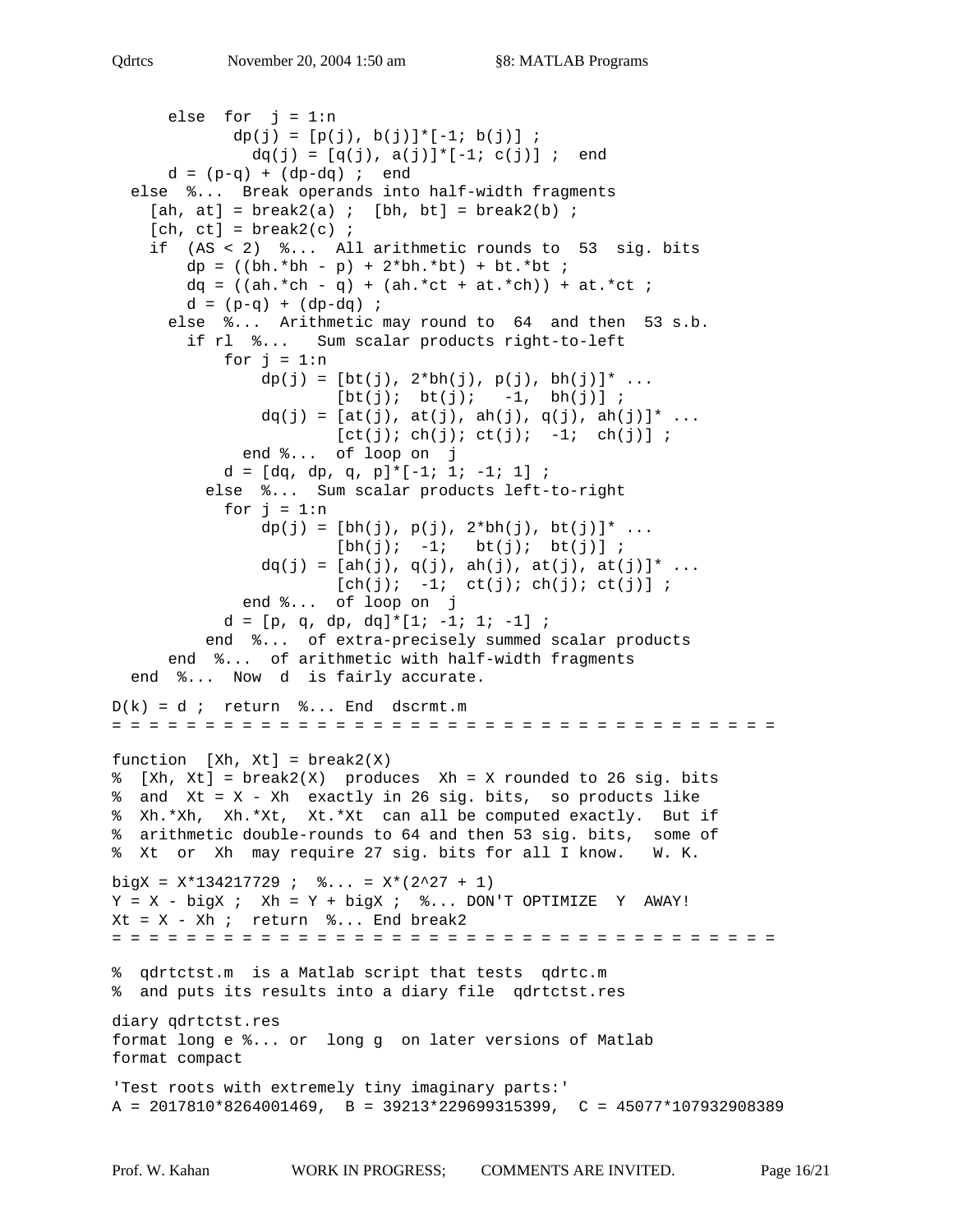```
else for j = 1:ndp(j) = [p(j), b(j)] * [-1; b(j)];
              dq(j) = [q(j), a(j)] * [-1; c(j)]; end
     d = (p-q) + (dp-dq) ; end
   else %... Break operands into half-width fragments
    [ah, at] = break2(a) ; [bh, bt] = break2(b);
    [ch, ct] = break2(c) ;
     if (AS < 2) %... All arithmetic rounds to 53 sig. bits
       dp = ((bh.*bh - p) + 2*bh.*bt) + bt.*bt ;dq = ((ah.*ch - q) + (ah.*ct + at.*ch)) + at.*ct ;d = (p-q) + (dp-dq);
      else %... Arithmetic may round to 64 and then 53 s.b.
         if rl %... Sum scalar products right-to-left
           for j = 1:ndp(j) = [bt(j), 2 * bh(j), p(j), bh(j)] * ...[bt(j); bt(j); -1, bh(j)];
               dq(j) = [at(j), at(j), ah(j), q(j), ah(j)]* ...
                       [ct(j); ch(j); ct(j); -1; ch(j)];
              end %... of loop on j
           d = [dq, dp, q, p] * [-1; 1; -1; 1];
          else %... Sum scalar products left-to-right
           for j = 1:ndp(j) = [bh(j), p(j), 2 * bh(j), bt(j)] * ...[bh(j); -1; bt(j); bt(j)];dq(j) = [ah(j), q(j), ah(j), at(j), at(j)]* ...
                      [ch(j); -1; ct(j); ch(j); ct(j)];
              end %... of loop on j
           d = [p, q, dp, dq] * [1; -1; 1; -1] ; end %... of extra-precisely summed scalar products
       end %... of arithmetic with half-width fragments
   end %... Now d is fairly accurate.
D(k) = d ; return k... End dscrmt.m
= = = = = = = = = = = = = = = = = = = = = = = = = = = = = = = = = = = =
function [Xh, Xt] = break2(X)% [Xh, Xt] = break2(X) produces Xh = X rounded to 26 sig. bits
% and Xt = X - Xh exactly in 26 sig. bits, so products like
% Xh.*Xh, Xh.*Xt, Xt.*Xt can all be computed exactly. But if
% arithmetic double-rounds to 64 and then 53 sig. bits, some of
% Xt or Xh may require 27 sig. bits for all I know. W. K.
bigX = X*134217729 ; \% \dots = X*(2^27 + 1)Y = X - bigX; Xh = Y + bigX; % S... DON'T OPTIMIZE Y AWAY!
Xt = X - Xh ; return \delta... End break2
= = = = = = = = = = = = = = = = = = = = = = = = = = = = = = = = = = = =
% qdrtctst.m is a Matlab script that tests qdrtc.m
% and puts its results into a diary file qdrtctst.res
diary qdrtctst.res
format long e %... or long g on later versions of Matlab
format compact
'Test roots with extremely tiny imaginary parts:'
A = 2017810*8264001469, B = 39213*229699315399, C = 45077*107932908389
```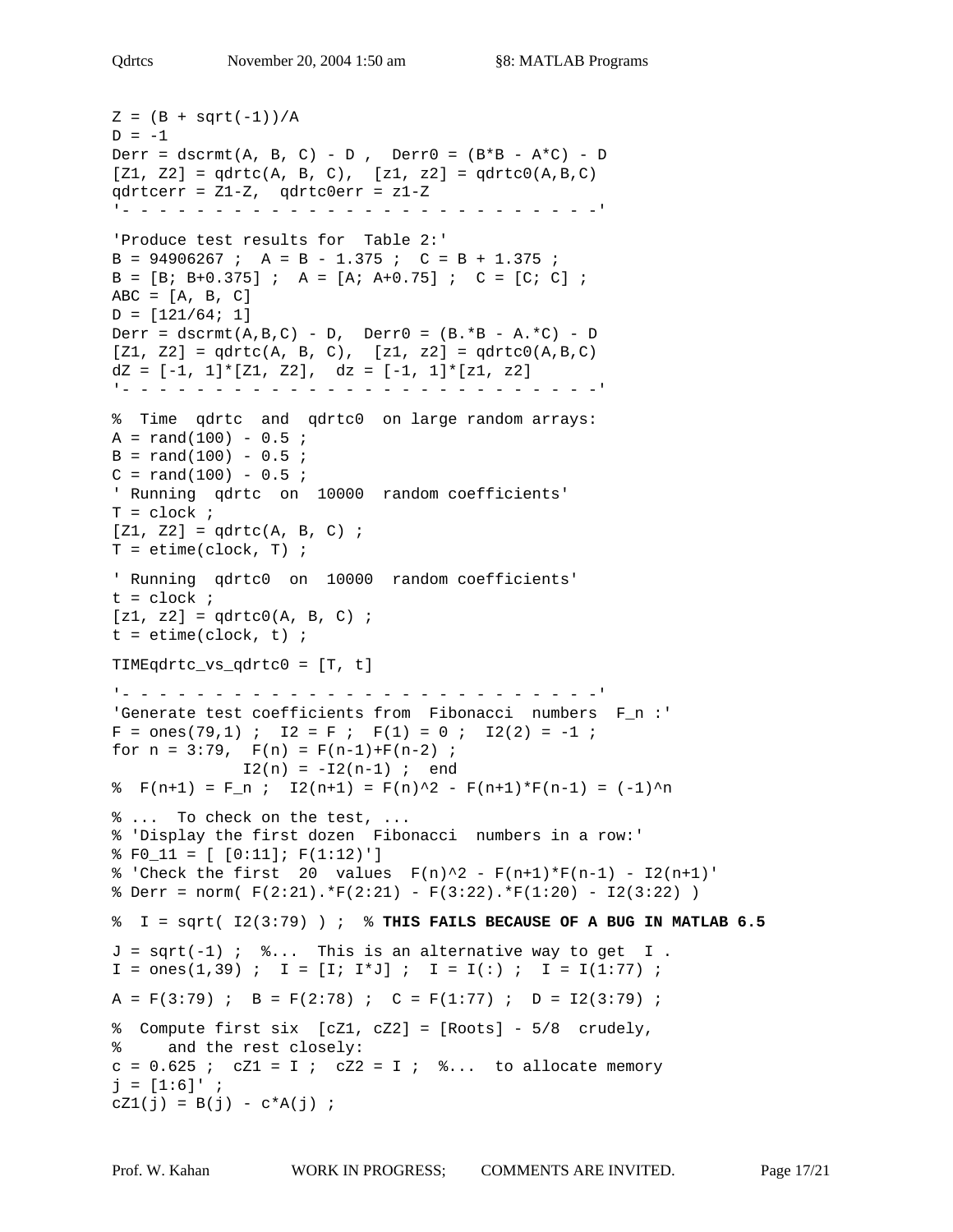```
Z = (B + sqrt(-1)) / AD = -1Derr = dscrmt(A, B, C) - D, Derr0 = (B*B - A*C) - D[Z1, Z2] = qdrtc(A, B, C), [z1, z2] = qdrtc0(A, B, C)qdrtcerr = Z1-Z, qdrtc0err = z1-Z
'- - - - - - - - - - - - - - - - - - - - - - - - - -'
'Produce test results for Table 2:'
B = 94906267 ; A = B - 1.375 ; C = B + 1.375 ;
B = [B; B+0.375] ; A = [A; A+0.75] ; C = [C; C] ;
ABC = [A, B, C]D = [121/64; 1]Derr = dscrmt(A,B,C) - D, Derr0 = (B.*B - A.*C) - D[Z1, Z2] = qdrtc(A, B, C), [z1, z2] = qdrtc(0, B, C)dz = [-1, 1] * [z1, z2], dz = [-1, 1] * [z1, z2]'- - - - - - - - - - - - - - - - - - - - - - - - - -'
% Time qdrtc and qdrtc0 on large random arrays:
A = rand(100) - 0.5;
B = rand(100) - 0.5;
C = rand(100) - 0.5;
' Running qdrtc on 10000 random coefficients'
T = clock ;
[Z1, Z2] = qdrtc(A, B, C);
T = etime(clock, T) ;
' Running qdrtc0 on 10000 random coefficients'
t = clock ;
[z1, z2] = qdrtc0(A, B, C) ;
t = etime(clock, t);
TIMEqdrtc_vs_qdrtc0 = [T, t]
'- - - - - - - - - - - - - - - - - - - - - - - - - -'
'Generate test coefficients from Fibonacci numbers F_n :'
F = ones(79, 1) ; I2 = F ; F(1) = 0 ; I2(2) = -1 ;
for n = 3:79, F(n) = F(n-1)+F(n-2);
             I2(n) = -I2(n-1) ; end
% F(n+1) = F_n; I2(n+1) = F(n)^2 - F(n+1)*F(n-1) = (-1)^n% ... To check on the test, ...
% 'Display the first dozen Fibonacci numbers in a row:'
\text{\$ F0_11 = [0:11]; F(1:12)']\}% 'Check the first 20 values F(n)^2 - F(n+1)*F(n-1) - I2(n+1)'\text{Server} = \text{norm}(\ F(2:21). * F(2:21) - F(3:22). * F(1:20) - I2(3:22))% I = sqrt( I2(3:79) ) ; % THIS FAILS BECAUSE OF A BUG IN MATLAB 6.5
J = sqrt(-1) ; \&... This is an alternative way to get I.
I = \text{ones}(1,39) ; I = [I; I*J] ; I = I(:) ; I = I(1:77) ;
A = F(3:79); B = F(2:78); C = F(1:77); D = I2(3:79);
% Compute first six [cZ1, cZ2] = [Roots] - 5/8 crudely,
% and the rest closely:
c = 0.625 ; cZ1 = I ; cZ2 = I ; \delta... to allocate memory
j = [1:6]' ;
cZ1(j) = B(j) - c*A(j);
```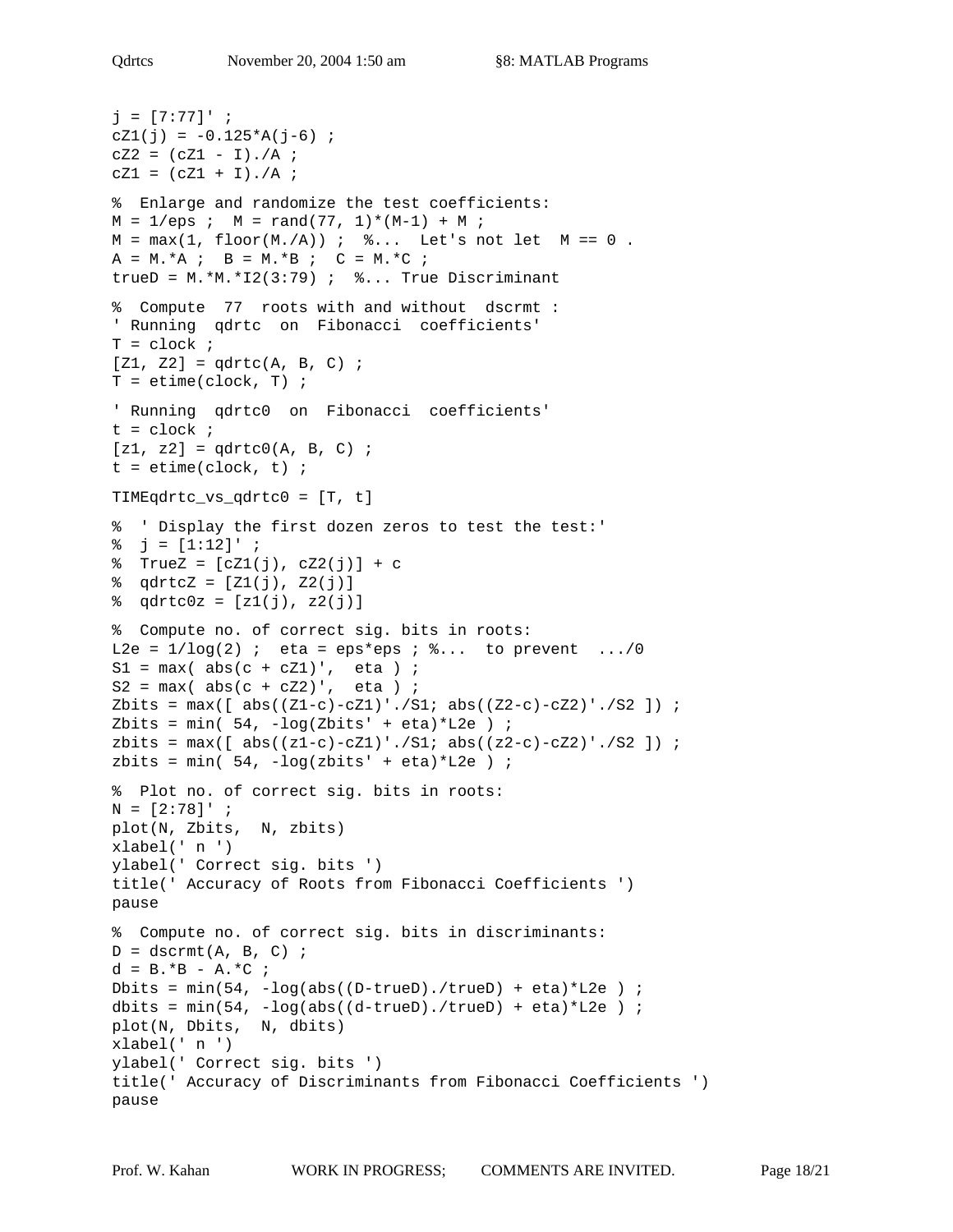```
j = [7:77]' ;
cZ1(j) = -0.125*A(j-6) ;
CZ2 = (CZ1 - I)./A ;
cZ1 = (cZ1 + I) . / A ;% Enlarge and randomize the test coefficients:
M = 1/eps ; M = rand(77, 1)*(M-1) + M;
M = max(1, flow(M./A)) ; \frac{1}{2}... Let's not let M == 0.
A = M.*A; B = M.*B; C = M.*C;
trueD = M.*M.*I2(3:79) ; % S.A.A. True Discriminant
% Compute 77 roots with and without dscrmt :
' Running qdrtc on Fibonacci coefficients'
T = clock ;
[Z1, Z2] = qdrtc(A, B, C);
T = etime(clock, T) ;
' Running qdrtc0 on Fibonacci coefficients'
t = clock ;
[z1, z2] = qdrtc0(A, B, C) ;
t = etime(clock, t);
TIMEqdrtc_vs_qdrtc0 = [T, t]
% ' Display the first dozen zeros to test the test:'
\frac{1}{6} j = [1:12]' ;
\text{TrueZ} = [cZ1(j), cZ2(j)] + c\text{qdtcZ} = [Z1(j), Z2(j)]\text{qdt} = [z1(j), z2(j)]% Compute no. of correct sig. bits in roots:
L2e = 1/\log(2) ; eta = eps*eps ; \frac{1}{2}... to prevent .../0
S1 = max(abs(c + cZ1)', eta ) ;
S2 = max(abs(c + cZ2)', eta ) ;
Zbits = max([abs((Z1-c)-cZ1)'./S1; abs((Z2-c)-cZ2)'./S2]);
Zbits = min(54, -log(Zbits' + eta)*L2e) ;
zbits = max([abs((z1-c)-cZ1)'./S1; abs((z2-c)-cZ2)'./S2]);
zbits = min(54, -log(zbits' + eta)*L2e) ;
% Plot no. of correct sig. bits in roots:
N = [2:78]' ;
plot(N, Zbits, N, zbits)
xlabel(' n ')
ylabel(' Correct sig. bits ')
title(' Accuracy of Roots from Fibonacci Coefficients ')
pause
% Compute no. of correct sig. bits in discriminants:
D = \text{dscrmt}(A, B, C) ;
d = B.*B - A.*C ;Dbits = min(54, -log(abs((D-true), /true)) + eta)*L2e ;
dbits = min(54, -log(abs((d-true)),/true) + eta)*L2e ;
plot(N, Dbits, N, dbits)
xlabel(' n ')
ylabel(' Correct sig. bits ')
title(' Accuracy of Discriminants from Fibonacci Coefficients ')
pause
```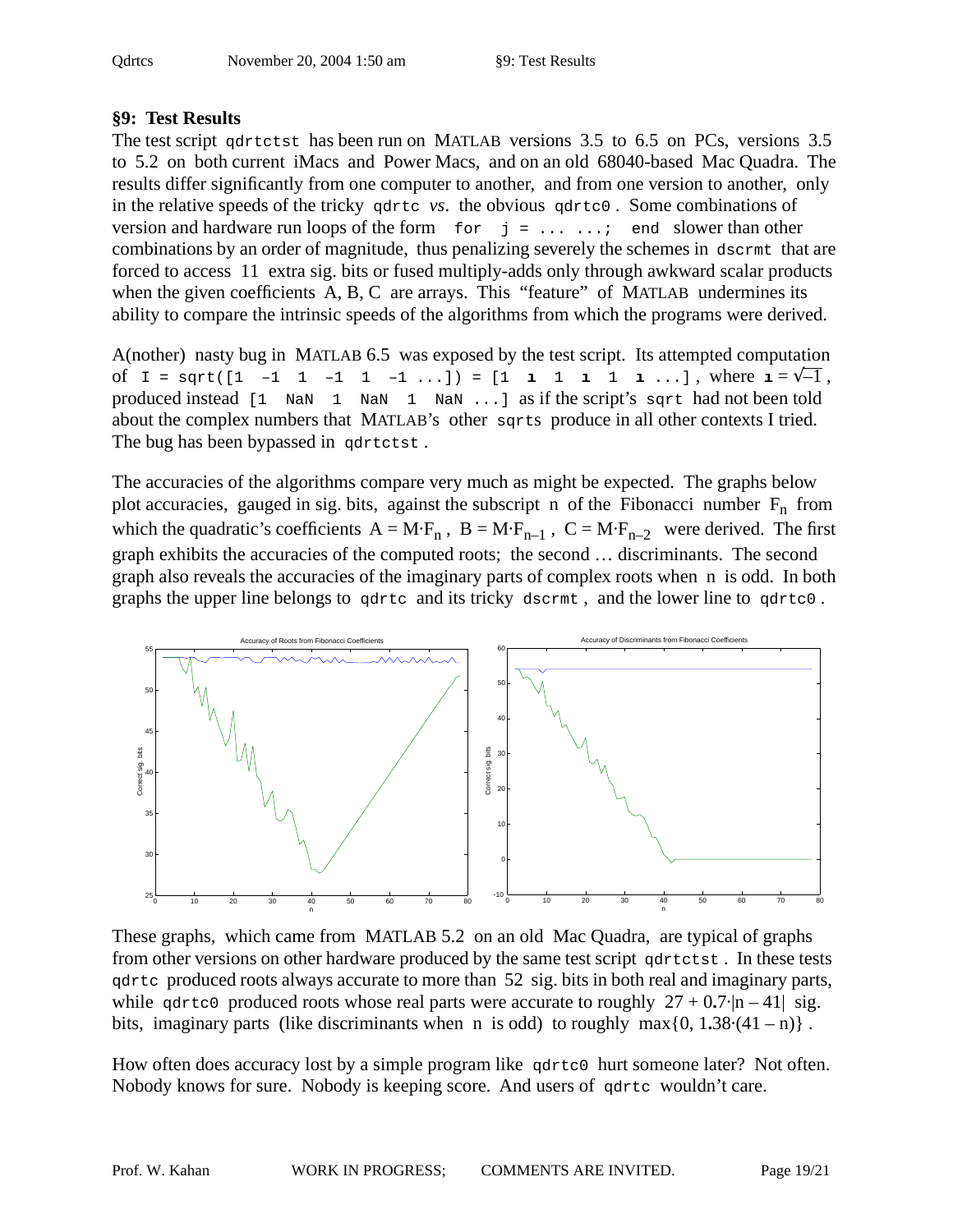# **§9: Test Results**

The test script qdrtctst has been run on MATLAB versions 3.5 to 6.5 on PCs, versions 3.5 to 5.2 on both current iMacs and Power Macs, and on an old 68040-based Mac Quadra. The results differ significantly from one computer to another, and from one version to another, only in the relative speeds of the tricky qdrtc *vs*. the obvious qdrtc0 . Some combinations of version and hardware run loops of the form  $\sigma$  for  $j = \ldots, j$  end slower than other combinations by an order of magnitude, thus penalizing severely the schemes in dscrmt that are forced to access 11 extra sig. bits or fused multiply-adds only through awkward scalar products when the given coefficients A, B, C are arrays. This "feature" of MATLAB undermines its ability to compare the intrinsic speeds of the algorithms from which the programs were derived.

A(nother) nasty bug in MATLAB 6.5 was exposed by the test script. Its attempted computation of  $I = \text{sqrt}([1 -1 1 -1 1 -1 1 -1 \dots]) = [1 \text{ i } 1 \text{ i } 1 \dots],$  where  $I = \sqrt{-1}$ , produced instead [1 NaN 1 NaN 1 NaN ...] as if the script's sqrt had not been told about the complex numbers that MATLAB's other sqrts produce in all other contexts I tried. The bug has been bypassed in gdrtctst.

The accuracies of the algorithms compare very much as might be expected. The graphs below plot accuracies, gauged in sig. bits, against the subscript n of the Fibonacci number  $F_n$  from which the quadratic's coefficients  $A = M \cdot F_n$ ,  $B = M \cdot F_{n-1}$ ,  $C = M \cdot F_{n-2}$  were derived. The first graph exhibits the accuracies of the computed roots; the second … discriminants. The second graph also reveals the accuracies of the imaginary parts of complex roots when n is odd. In both graphs the upper line belongs to qdrtc and its tricky dscrmt , and the lower line to qdrtc0 .



These graphs, which came from MATLAB 5.2 on an old Mac Quadra, are typical of graphs from other versions on other hardware produced by the same test script qdrtctst. In these tests qdrtc produced roots always accurate to more than 52 sig. bits in both real and imaginary parts, while gdrtc0 produced roots whose real parts were accurate to roughly  $27 + 0.7 \cdot |n - 41|$  sig. bits, imaginary parts (like discriminants when n is odd) to roughly max $\{0, 1.38 \cdot (41 - n)\}\$ .

How often does accuracy lost by a simple program like  $qdr\tau c0$  hurt someone later? Not often. Nobody knows for sure. Nobody is keeping score. And users of qdrtc wouldn't care.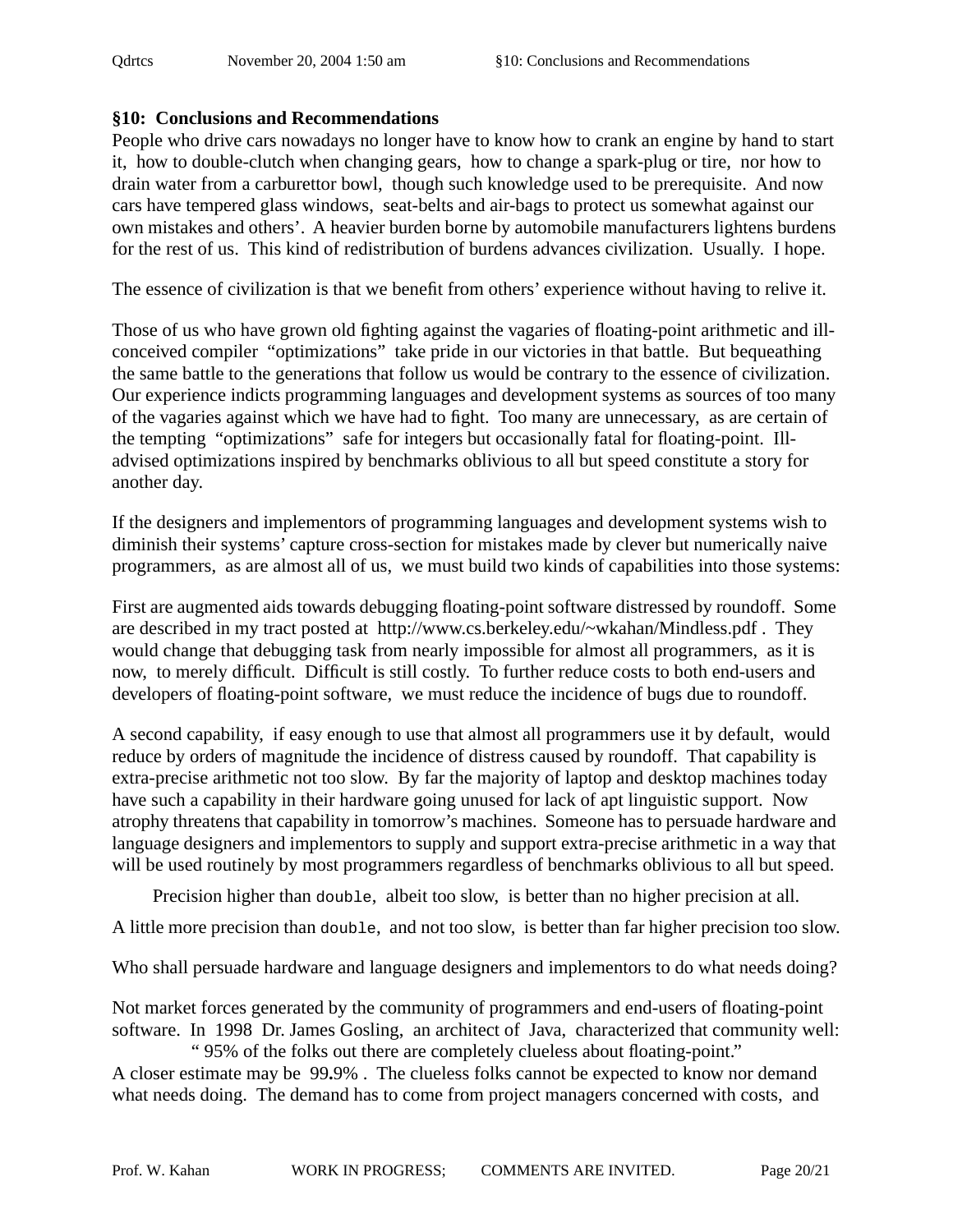### **§10: Conclusions and Recommendations**

People who drive cars nowadays no longer have to know how to crank an engine by hand to start it, how to double-clutch when changing gears, how to change a spark-plug or tire, nor how to drain water from a carburettor bowl, though such knowledge used to be prerequisite. And now cars have tempered glass windows, seat-belts and air-bags to protect us somewhat against our own mistakes and others'. A heavier burden borne by automobile manufacturers lightens burdens for the rest of us. This kind of redistribution of burdens advances civilization. Usually. I hope.

The essence of civilization is that we benefit from others' experience without having to relive it.

Those of us who have grown old fighting against the vagaries of floating-point arithmetic and illconceived compiler "optimizations" take pride in our victories in that battle. But bequeathing the same battle to the generations that follow us would be contrary to the essence of civilization. Our experience indicts programming languages and development systems as sources of too many of the vagaries against which we have had to fight. Too many are unnecessary, as are certain of the tempting "optimizations" safe for integers but occasionally fatal for floating-point. Illadvised optimizations inspired by benchmarks oblivious to all but speed constitute a story for another day.

If the designers and implementors of programming languages and development systems wish to diminish their systems' capture cross-section for mistakes made by clever but numerically naive programmers, as are almost all of us, we must build two kinds of capabilities into those systems:

First are augmented aids towards debugging floating-point software distressed by roundoff. Some are described in my tract posted at http://www.cs.berkeley.edu/~wkahan/Mindless.pdf . They would change that debugging task from nearly impossible for almost all programmers, as it is now, to merely difficult. Difficult is still costly. To further reduce costs to both end-users and developers of floating-point software, we must reduce the incidence of bugs due to roundoff.

A second capability, if easy enough to use that almost all programmers use it by default, would reduce by orders of magnitude the incidence of distress caused by roundoff. That capability is extra-precise arithmetic not too slow. By far the majority of laptop and desktop machines today have such a capability in their hardware going unused for lack of apt linguistic support. Now atrophy threatens that capability in tomorrow's machines. Someone has to persuade hardware and language designers and implementors to supply and support extra-precise arithmetic in a way that will be used routinely by most programmers regardless of benchmarks oblivious to all but speed.

Precision higher than double, albeit too slow, is better than no higher precision at all.

A little more precision than double, and not too slow, is better than far higher precision too slow.

Who shall persuade hardware and language designers and implementors to do what needs doing?

Not market forces generated by the community of programmers and end-users of floating-point software. In 1998 Dr. James Gosling, an architect of Java, characterized that community well: " 95% of the folks out there are completely clueless about floating-point."

A closer estimate may be 99**.**9% . The clueless folks cannot be expected to know nor demand what needs doing. The demand has to come from project managers concerned with costs, and